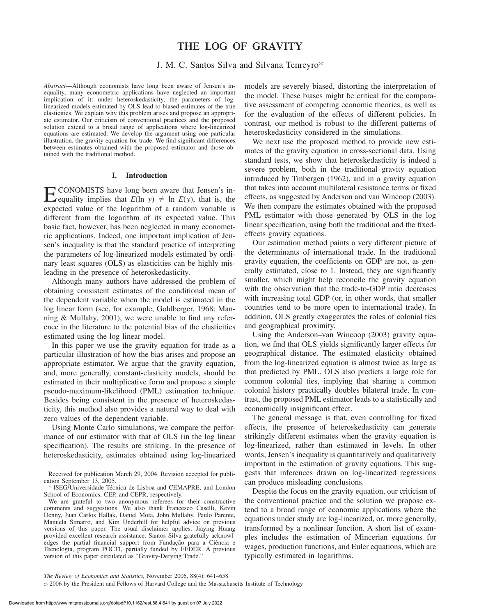# **THE LOG OF GRAVITY**

J. M. C. Santos Silva and Silvana Tenreyro\*

*Abstract*—Although economists have long been aware of Jensen's inequality, many econometric applications have neglected an important implication of it: under heteroskedasticity, the parameters of loglinearized models estimated by OLS lead to biased estimates of the true elasticities. We explain why this problem arises and propose an appropriate estimator. Our criticism of conventional practices and the proposed solution extend to a broad range of applications where log-linearized equations are estimated. We develop the argument using one particular illustration, the gravity equation for trade. We find significant differences between estimates obtained with the proposed estimator and those obtained with the traditional method.

### **I. Introduction**

**ECONOMISTS** have long been aware that Jensen's in-<br>equality implies that  $E(\ln y) \neq \ln E(y)$ , that is, the expected value of the logarithm of a random variable is different from the logarithm of its expected value. This basic fact, however, has been neglected in many econometric applications. Indeed, one important implication of Jensen's inequality is that the standard practice of interpreting the parameters of log-linearized models estimated by ordinary least squares (OLS) as elasticities can be highly misleading in the presence of heteroskedasticity.

Although many authors have addressed the problem of obtaining consistent estimates of the conditional mean of the dependent variable when the model is estimated in the log linear form (see, for example, Goldberger, 1968; Manning & Mullahy, 2001), we were unable to find any reference in the literature to the potential bias of the elasticities estimated using the log linear model.

In this paper we use the gravity equation for trade as a particular illustration of how the bias arises and propose an appropriate estimator. We argue that the gravity equation, and, more generally, constant-elasticity models, should be estimated in their multiplicative form and propose a simple pseudo-maximum-likelihood (PML) estimation technique. Besides being consistent in the presence of heteroskedasticity, this method also provides a natural way to deal with zero values of the dependent variable.

Using Monte Carlo simulations, we compare the performance of our estimator with that of OLS (in the log linear specification). The results are striking. In the presence of heteroskedasticity, estimates obtained using log-linearized

models are severely biased, distorting the interpretation of the model. These biases might be critical for the comparative assessment of competing economic theories, as well as for the evaluation of the effects of different policies. In contrast, our method is robust to the different patterns of heteroskedasticity considered in the simulations.

We next use the proposed method to provide new estimates of the gravity equation in cross-sectional data. Using standard tests, we show that heteroskedasticity is indeed a severe problem, both in the traditional gravity equation introduced by Tinbergen (1962), and in a gravity equation that takes into account multilateral resistance terms or fixed effects, as suggested by Anderson and van Wincoop (2003). We then compare the estimates obtained with the proposed PML estimator with those generated by OLS in the log linear specification, using both the traditional and the fixedeffects gravity equations.

Our estimation method paints a very different picture of the determinants of international trade. In the traditional gravity equation, the coefficients on GDP are not, as generally estimated, close to 1. Instead, they are significantly smaller, which might help reconcile the gravity equation with the observation that the trade-to-GDP ratio decreases with increasing total GDP (or, in other words, that smaller countries tend to be more open to international trade). In addition, OLS greatly exaggerates the roles of colonial ties and geographical proximity.

Using the Anderson–van Wincoop (2003) gravity equation, we find that OLS yields significantly larger effects for geographical distance. The estimated elasticity obtained from the log-linearized equation is almost twice as large as that predicted by PML. OLS also predicts a large role for common colonial ties, implying that sharing a common colonial history practically doubles bilateral trade. In contrast, the proposed PML estimator leads to a statistically and economically insignificant effect.

The general message is that, even controlling for fixed effects, the presence of heteroskedasticity can generate strikingly different estimates when the gravity equation is log-linearized, rather than estimated in levels. In other words, Jensen's inequality is quantitatively and qualitatively important in the estimation of gravity equations. This suggests that inferences drawn on log-linearized regressions can produce misleading conclusions.

Despite the focus on the gravity equation, our criticism of the conventional practice and the solution we propose extend to a broad range of economic applications where the equations under study are log-linearized, or, more generally, transformed by a nonlinear function. A short list of examples includes the estimation of Mincerian equations for wages, production functions, and Euler equations, which are typically estimated in logarithms.

*The Review of Economics and Statistics,* November 2006, 88(4): 641–658

© 2006 by the President and Fellows of Harvard College and the Massachusetts Institute of Technology

Received for publication March 29, 2004. Revision accepted for publication September 13, 2005.

<sup>\*</sup> ISEG/Universidade Técnica de Lisboa and CEMAPRE; and London School of Economics, CEP, and CEPR, respectively.

We are grateful to two anonymous referees for their constructive comments and suggestions. We also thank Francesco Caselli, Kevin Denny, Juan Carlos Hallak, Daniel Mota, John Mullahy, Paulo Parente, Manuela Simarro, and Kim Underhill for helpful advice on previous versions of this paper. The usual disclaimer applies. Jiaying Huang provided excellent research assistance. Santos Silva gratefully acknowledges the partial financial support from Fundação para a Ciência e Tecnologia, program POCTI, partially funded by FEDER. A previous version of this paper circulated as "Gravity-Defying Trade."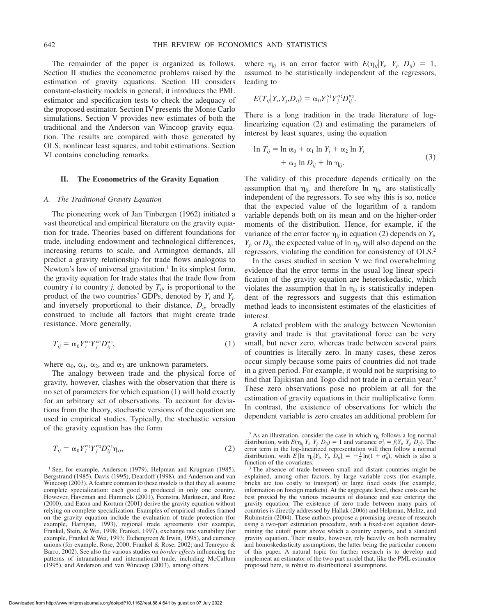The remainder of the paper is organized as follows. Section II studies the econometric problems raised by the estimation of gravity equations. Section III considers constant-elasticity models in general; it introduces the PML estimator and specification tests to check the adequacy of the proposed estimator. Section IV presents the Monte Carlo simulations. Section V provides new estimates of both the traditional and the Anderson–van Wincoop gravity equation. The results are compared with those generated by OLS, nonlinear least squares, and tobit estimations. Section VI contains concluding remarks.

### **II. The Econometrics of the Gravity Equation**

### *A. The Traditional Gravity Equation*

The pioneering work of Jan Tinbergen (1962) initiated a vast theoretical and empirical literature on the gravity equation for trade. Theories based on different foundations for trade, including endowment and technological differences, increasing returns to scale, and Armington demands, all predict a gravity relationship for trade flows analogous to Newton's law of universal gravitation.<sup>1</sup> In its simplest form, the gravity equation for trade states that the trade flow from country *i* to country *j*, denoted by  $T_{ij}$ , is proportional to the product of the two countries' GDPs, denoted by  $Y_i$  and  $Y_j$ , and inversely proportional to their distance,  $D_{ij}$ , broadly construed to include all factors that might create trade resistance. More generally,

$$
T_{ij} = \alpha_0 Y_i^{\alpha_1} Y_j^{\alpha_2} D_{ij}^{\alpha_3},\tag{1}
$$

where  $\alpha_0$ ,  $\alpha_1$ ,  $\alpha_2$ , and  $\alpha_3$  are unknown parameters.

The analogy between trade and the physical force of gravity, however, clashes with the observation that there is no set of parameters for which equation (1) will hold exactly for an arbitrary set of observations. To account for deviations from the theory, stochastic versions of the equation are used in empirical studies. Typically, the stochastic version of the gravity equation has the form

$$
T_{ij} = \alpha_0 Y_i^{\alpha_1} Y_j^{\alpha_2} D_{ij}^{\alpha_3} \eta_{ij}, \qquad (2)
$$

<sup>1</sup> See, for example, Anderson (1979), Helpman and Krugman (1985), Bergstrand (1985), Davis (1995), Deardoff (1998), and Anderson and van Wincoop (2003). A feature common to these models is that they all assume complete specialization: each good is produced in only one country. However, Haveman and Hummels (2001), Feenstra, Markusen, and Rose (2000), and Eaton and Kortum (2001) derive the gravity equation without relying on complete specialization. Examples of empirical studies framed on the gravity equation include the evaluation of trade protection (for example, Harrigan, 1993), regional trade agreements (for example, Frankel, Stein, & Wei, 1998; Frankel, 1997), exchange rate variability (for example, Frankel & Wei, 1993; Eichengreen & Irwin, 1995), and currency unions (for example, Rose, 2000; Frankel & Rose, 2002; and Tenreyro & Barro, 2002). See also the various studies on *border effects* influencing the patterns of intranational and international trade, including McCallum (1995), and Anderson and van Wincoop (2003), among others.

where  $\eta_{ij}$  is an error factor with  $E(\eta_{ij}|Y_i, Y_j, D_{ij}) = 1$ , assumed to be statistically independent of the regressors, leading to

$$
E(T_{ij}|Y_i,Y_j,D_{ij}) = \alpha_0 Y_i^{\alpha_1} Y_j^{\alpha_2} D_{ij}^{\alpha_3}.
$$

There is a long tradition in the trade literature of loglinearizing equation (2) and estimating the parameters of interest by least squares, using the equation

$$
\ln T_{ij} = \ln \alpha_0 + \alpha_1 \ln Y_i + \alpha_2 \ln Y_j
$$
  
+ 
$$
\alpha_3 \ln D_{ij} + \ln \eta_{ij}.
$$
 (3)

The validity of this procedure depends critically on the assumption that  $\eta_{ij}$ , and therefore ln  $\eta_{ij}$ , are statistically independent of the regressors. To see why this is so, notice that the expected value of the logarithm of a random variable depends both on its mean and on the higher-order moments of the distribution. Hence, for example, if the variance of the error factor  $\eta_{ij}$  in equation (2) depends on  $Y_i$ ,  $Y_i$ , or  $D_{ij}$ , the expected value of ln  $\eta_{ij}$  will also depend on the regressors, violating the condition for consistency of OLS.2

In the cases studied in section V we find overwhelming evidence that the error terms in the usual log linear specification of the gravity equation are heteroskedastic, which violates the assumption that  $\ln \eta_{ij}$  is statistically independent of the regressors and suggests that this estimation method leads to inconsistent estimates of the elasticities of interest.

A related problem with the analogy between Newtonian gravity and trade is that gravitational force can be very small, but never zero, whereas trade between several pairs of countries is literally zero. In many cases, these zeros occur simply because some pairs of countries did not trade in a given period. For example, it would not be surprising to find that Tajikistan and Togo did not trade in a certain year.3 These zero observations pose no problem at all for the estimation of gravity equations in their multiplicative form. In contrast, the existence of observations for which the dependent variable is zero creates an additional problem for

<sup>3</sup> The absence of trade between small and distant countries might be explained, among other factors, by large variable costs (for example, bricks are too costly to transport) or large fixed costs (for example, information on foreign markets). At the aggregate level, these costs can be best proxied by the various measures of distance and size entering the gravity equation. The existence of zero trade between many pairs of countries is directly addressed by Hallak (2006) and Helpman, Melitz, and Rubinstein (2004). These authors propose a promising avenue of research using a two-part estimation procedure, with a fixed-cost equation determining the cutoff point above which a country exports, and a standard gravity equation. Their results, however, rely heavily on both normality and homoskedasticity assumptions, the latter being the particular concern of this paper. A natural topic for further research is to develop and implement an estimator of the two-part model that, like the PML estimator proposed here, is robust to distributional assumptions.

<sup>&</sup>lt;sup>2</sup> As an illustration, consider the case in which  $\eta_{ij}$  follows a log normal distribution, with  $E(\eta_{ij}|Y_i, Y_j, D_{ij}) = 1$  and variance  $\sigma_{ij}^2 = f(Y_i, Y_j, D_{ij})$ . The error term in the log-linearized representation will then follow a normal distribution, with  $E[\ln \eta_{ij}|Y_i, Y_j, D_{ij}] = -\frac{1}{2} \ln(1 + \sigma_{ij}^2)$ , which is also a function of the covariates.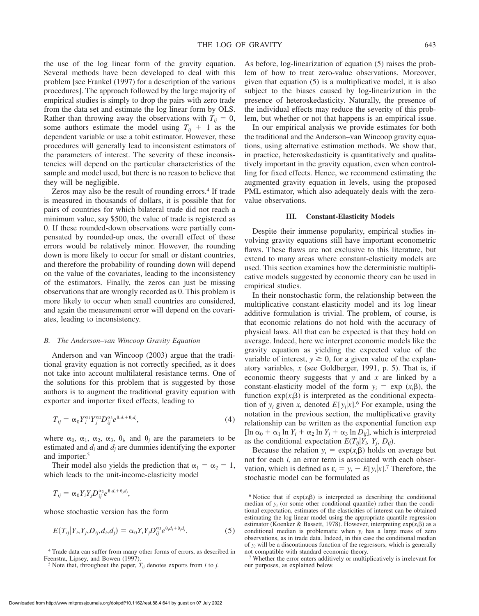the use of the log linear form of the gravity equation. Several methods have been developed to deal with this problem [see Frankel (1997) for a description of the various procedures]. The approach followed by the large majority of empirical studies is simply to drop the pairs with zero trade from the data set and estimate the log linear form by OLS. Rather than throwing away the observations with  $T_{ij} = 0$ , some authors estimate the model using  $T_{ij} + 1$  as the dependent variable or use a tobit estimator. However, these procedures will generally lead to inconsistent estimators of the parameters of interest. The severity of these inconsistencies will depend on the particular characteristics of the sample and model used, but there is no reason to believe that they will be negligible.

Zeros may also be the result of rounding errors.<sup>4</sup> If trade is measured in thousands of dollars, it is possible that for pairs of countries for which bilateral trade did not reach a minimum value, say \$500, the value of trade is registered as 0. If these rounded-down observations were partially compensated by rounded-up ones, the overall effect of these errors would be relatively minor. However, the rounding down is more likely to occur for small or distant countries, and therefore the probability of rounding down will depend on the value of the covariates, leading to the inconsistency of the estimators. Finally, the zeros can just be missing observations that are wrongly recorded as 0. This problem is more likely to occur when small countries are considered, and again the measurement error will depend on the covariates, leading to inconsistency.

#### *B. The Anderson–van Wincoop Gravity Equation*

Anderson and van Wincoop (2003) argue that the traditional gravity equation is not correctly specified, as it does not take into account multilateral resistance terms. One of the solutions for this problem that is suggested by those authors is to augment the traditional gravity equation with exporter and importer fixed effects, leading to

$$
T_{ij} = \alpha_0 Y_i^{\alpha_1} Y_j^{\alpha_2} D_{ij}^{\alpha_3} e^{\theta_i d_i + \theta_j d_j},\tag{4}
$$

where  $\alpha_0$ ,  $\alpha_1$ ,  $\alpha_2$ ,  $\alpha_3$ ,  $\theta_i$ , and  $\theta_j$  are the parameters to be estimated and  $d_i$  and  $d_j$  are dummies identifying the exporter and importer.5

Their model also yields the prediction that  $\alpha_1 = \alpha_2 = 1$ , which leads to the unit-income-elasticity model

$$
T_{ij} = \alpha_0 Y_i Y_j D_{ij}^{\alpha_3} e^{\theta_i d_i + \theta_j d_j},
$$

whose stochastic version has the form

$$
E(T_{ij}|Y_i,Y_j,D_{ij},d_i,d_j) = \alpha_0 Y_i Y_j D_{ij}^{\alpha_3} e^{\theta_i d_i + \theta_j d_j}.
$$
 (5)

<sup>4</sup> Trade data can suffer from many other forms of errors, as described in Feenstra, Lipsey, and Bowen (1997).

As before, log-linearization of equation (5) raises the problem of how to treat zero-value observations. Moreover, given that equation (5) is a multiplicative model, it is also subject to the biases caused by log-linearization in the presence of heteroskedasticity. Naturally, the presence of the individual effects may reduce the severity of this problem, but whether or not that happens is an empirical issue.

In our empirical analysis we provide estimates for both the traditional and the Anderson–van Wincoop gravity equations, using alternative estimation methods. We show that, in practice, heteroskedasticity is quantitatively and qualitatively important in the gravity equation, even when controlling for fixed effects. Hence, we recommend estimating the augmented gravity equation in levels, using the proposed PML estimator, which also adequately deals with the zerovalue observations.

#### **III. Constant-Elasticity Models**

Despite their immense popularity, empirical studies involving gravity equations still have important econometric flaws. These flaws are not exclusive to this literature, but extend to many areas where constant-elasticity models are used. This section examines how the deterministic multiplicative models suggested by economic theory can be used in empirical studies.

In their nonstochastic form, the relationship between the multiplicative constant-elasticity model and its log linear additive formulation is trivial. The problem, of course, is that economic relations do not hold with the accuracy of physical laws. All that can be expected is that they hold on average. Indeed, here we interpret economic models like the gravity equation as yielding the expected value of the variable of interest,  $y \ge 0$ , for a given value of the explanatory variables, *x* (see Goldberger, 1991, p. 5). That is, if economic theory suggests that *y* and *x* are linked by a constant-elasticity model of the form  $y_i = \exp(x_i, \beta)$ , the function  $exp(x_i\beta)$  is interpreted as the conditional expectation of  $y_i$  given *x*, denoted  $E[y_i|x]$ .<sup>6</sup> For example, using the notation in the previous section, the multiplicative gravity relationship can be written as the exponential function exp [ $\ln \alpha_0 + \alpha_1 \ln Y_i + \alpha_2 \ln Y_j + \alpha_3 \ln D_{ij}$ ], which is interpreted as the conditional expectation  $E(T_{ij}|Y_i, Y_j, D_{ij})$ .

Because the relation  $y_i = \exp(x_i\beta)$  holds on average but not for each *i,* an error term is associated with each observation, which is defined as  $\varepsilon_i = y_i - E[y_i|x]$ .<sup>7</sup> Therefore, the stochastic model can be formulated as

<sup>7</sup> Whether the error enters additively or multiplicatively is irrelevant for our purposes, as explained below.

<sup>&</sup>lt;sup>5</sup> Note that, throughout the paper,  $T_{ij}$  denotes exports from *i* to *j*.

<sup>&</sup>lt;sup>6</sup> Notice that if  $exp(x_i\beta)$  is interpreted as describing the conditional median of  $y_i$  (or some other conditional quantile) rather than the conditional expectation, estimates of the elasticities of interest can be obtained estimating the log linear model using the appropriate quantile regression estimator (Koenker & Bassett, 1978). However, interpreting exp( $x_i\beta$ ) as a conditional median is problematic when  $y_i$  has a large mass of zero observations, as in trade data. Indeed, in this case the conditional median of *yi* will be a discontinuous function of the regressors, which is generally not compatible with standard economic theory.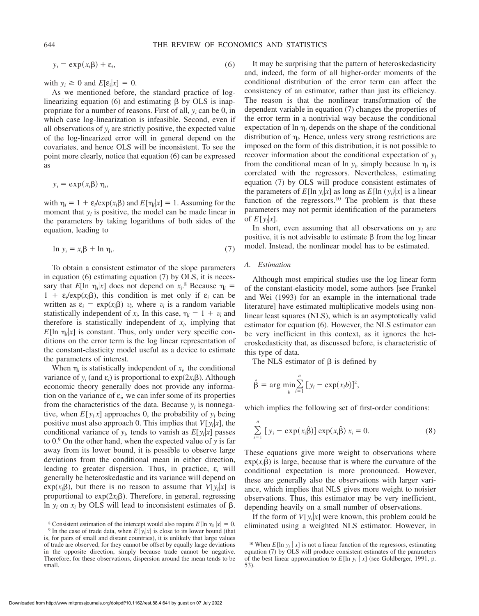$$
y_i = \exp(x_i \beta) + \varepsilon_i, \tag{6}
$$

with  $y_i \geq 0$  and  $E[\varepsilon_i | x] = 0$ .

As we mentioned before, the standard practice of loglinearizing equation (6) and estimating  $\beta$  by OLS is inappropriate for a number of reasons. First of all, *yi* can be 0, in which case log-linearization is infeasible. Second, even if all observations of  $y_i$  are strictly positive, the expected value of the log-linearized error will in general depend on the covariates, and hence OLS will be inconsistent. To see the point more clearly, notice that equation (6) can be expressed as

$$
y_i = \exp(x_i \beta) \eta_i,
$$

with  $\eta_i = 1 + \varepsilon_i / \exp(x_i \beta)$  and  $E[\eta_i | x] = 1$ . Assuming for the moment that  $y_i$  is positive, the model can be made linear in the parameters by taking logarithms of both sides of the equation, leading to

$$
\ln y_i = x_i \beta + \ln \eta_i. \tag{7}
$$

To obtain a consistent estimator of the slope parameters in equation (6) estimating equation (7) by OLS, it is necessary that  $E[\ln \eta_i|x]$  does not depend on  $x_i$ .<sup>8</sup> Because  $\eta_i =$ 1 + ε<sub>i</sub>/exp(x<sub>i</sub>β), this condition is met only if  $ε$ <sub>*i*</sub> can be written as  $\varepsilon_i = \exp(x_i\beta)$   $v_i$ , where  $v_i$  is a random variable statistically independent of  $x_i$ . In this case,  $\eta_i = 1 + v_i$  and therefore is statistically independent of  $x_i$ , implying that *E*[ln  $\eta$ <sub>*i*</sub>|x] is constant. Thus, only under very specific conditions on the error term is the log linear representation of the constant-elasticity model useful as a device to estimate the parameters of interest.

When  $\eta_i$  is statistically independent of  $x_i$ , the conditional variance of  $y_i$  (and  $\varepsilon_i$ ) is proportional to  $exp(2x_i\beta)$ . Although economic theory generally does not provide any information on the variance of  $\varepsilon$ <sub>*i*</sub>, we can infer some of its properties from the characteristics of the data. Because  $y_i$  is nonnegative, when  $E[y_i|x]$  approaches 0, the probability of  $y_i$  being positive must also approach 0. This implies that  $V[y_i|x]$ , the conditional variance of  $y_i$ , tends to vanish as  $E[y_i|x]$  passes to 0.9 On the other hand, when the expected value of *y* is far away from its lower bound, it is possible to observe large deviations from the conditional mean in either direction, leading to greater dispersion. Thus, in practice,  $\varepsilon_i$  will generally be heteroskedastic and its variance will depend on  $\exp(x_i\beta)$ , but there is no reason to assume that  $V[y_i|x]$  is proportional to  $exp(2x_i\beta)$ . Therefore, in general, regressing ln *y<sub>i</sub>* on  $x_i$  by OLS will lead to inconsistent estimates of β.

It may be surprising that the pattern of heteroskedasticity and, indeed, the form of all higher-order moments of the conditional distribution of the error term can affect the consistency of an estimator, rather than just its efficiency. The reason is that the nonlinear transformation of the dependent variable in equation (7) changes the properties of the error term in a nontrivial way because the conditional expectation of  $\ln \eta_i$  depends on the shape of the conditional distribution of  $\eta_i$ . Hence, unless very strong restrictions are imposed on the form of this distribution, it is not possible to recover information about the conditional expectation of *yi* from the conditional mean of  $\ln y_i$ , simply because  $\ln \eta_i$  is correlated with the regressors. Nevertheless, estimating equation (7) by OLS will produce consistent estimates of the parameters of  $E[\ln y_i|x]$  as long as  $E[\ln (y_i)|x]$  is a linear function of the regressors.<sup>10</sup> The problem is that these parameters may not permit identification of the parameters of  $E[y_i|x]$ .

In short, even assuming that all observations on  $y_i$  are positive, it is not advisable to estimate  $\beta$  from the log linear model. Instead, the nonlinear model has to be estimated.

### *A. Estimation*

Although most empirical studies use the log linear form of the constant-elasticity model, some authors [see Frankel and Wei (1993) for an example in the international trade literature] have estimated multiplicative models using nonlinear least squares (NLS), which is an asymptotically valid estimator for equation (6). However, the NLS estimator can be very inefficient in this context, as it ignores the heteroskedasticity that, as discussed before, is characteristic of this type of data.

The NLS estimator of  $\beta$  is defined by

$$
\hat{\beta} = \arg \min_{b} \sum_{i=1}^{n} [y_i - \exp(x_i b)]^2,
$$

which implies the following set of first-order conditions:

$$
\sum_{i=1}^{n} [y_i - \exp(x_i\hat{\beta})] \exp(x_i\hat{\beta}) x_i = 0.
$$
 (8)

These equations give more weight to observations where  $exp(x<sub>i</sub>î̂)$  is large, because that is where the curvature of the conditional expectation is more pronounced. However, these are generally also the observations with larger variance, which implies that NLS gives more weight to noisier observations. Thus, this estimator may be very inefficient, depending heavily on a small number of observations.

If the form of  $V[y_i|x]$  were known, this problem could be <sup>8</sup> Consistent estimation of the intercept would also require  $E[\ln \eta_i | x] = 0$ . eliminated using a weighted NLS estimator. However, in <sup>9</sup> In the case of trade data, when  $E[y_i | x]$  is close to its lower bound (that

is, for pairs of small and distant countries), it is unlikely that large values of trade are observed, for they cannot be offset by equally large deviations in the opposite direction, simply because trade cannot be negative. Therefore, for these observations, dispersion around the mean tends to be small.

<sup>&</sup>lt;sup>10</sup> When  $E[\ln y_i | x]$  is not a linear function of the regressors, estimating equation (7) by OLS will produce consistent estimates of the parameters of the best linear approximation to  $E[\ln y_i | x]$  (see Goldberger, 1991, p. 53).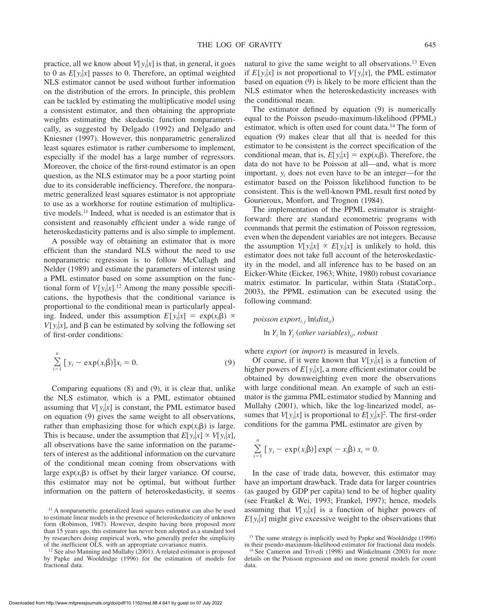practice, all we know about  $V[y_i|x]$  is that, in general, it goes to 0 as  $E[y_i|x]$  passes to 0. Therefore, an optimal weighted NLS estimator cannot be used without further information on the distribution of the errors. In principle, this problem can be tackled by estimating the multiplicative model using a consistent estimator, and then obtaining the appropriate weights estimating the skedastic function nonparametrically, as suggested by Delgado (1992) and Delgado and Kniesner (1997). However, this nonparametric generalized least squares estimator is rather cumbersome to implement, especially if the model has a large number of regressors. Moreover, the choice of the first-round estimator is an open question, as the NLS estimator may be a poor starting point due to its considerable inefficiency. Therefore, the nonparametric generalized least squares estimator is not appropriate to use as a workhorse for routine estimation of multiplicative models.11 Indeed, what is needed is an estimator that is consistent and reasonably efficient under a wide range of heteroskedasticity patterns and is also simple to implement.

A possible way of obtaining an estimator that is more efficient than the standard NLS without the need to use nonparametric regression is to follow McCullagh and Nelder (1989) and estimate the parameters of interest using a PML estimator based on some assumption on the functional form of  $V[y_i|x]$ .<sup>12</sup> Among the many possible specifications, the hypothesis that the conditional variance is proportional to the conditional mean is particularly appealing. Indeed, under this assumption  $E[y_i|x] = \exp(x_i\beta) \propto$  $V[y_i|x]$ , and  $\beta$  can be estimated by solving the following set of first-order conditions:

$$
\sum_{i=1}^{n} [y_i - \exp(x_i \tilde{\beta})] x_i = 0.
$$
 (9)

Comparing equations (8) and (9), it is clear that, unlike the NLS estimator, which is a PML estimator obtained assuming that  $V[y_i|x]$  is constant, the PML estimator based on equation (9) gives the same weight to all observations, rather than emphasizing those for which  $exp(x<sub>i</sub> \beta)$  is large. This is because, under the assumption that  $E[y_i|x] \propto V[y_i|x]$ , all observations have the same information on the parameters of interest as the additional information on the curvature of the conditional mean coming from observations with large  $exp(x_i\beta)$  is offset by their larger variance. Of course, this estimator may not be optimal, but without further information on the pattern of heteroskedasticity, it seems natural to give the same weight to all observations.13 Even if  $E[y_i|x]$  is not proportional to  $V[y_i|x]$ , the PML estimator based on equation (9) is likely to be more efficient than the NLS estimator when the heteroskedasticity increases with the conditional mean.

The estimator defined by equation (9) is numerically equal to the Poisson pseudo-maximum-likelihood (PPML) estimator, which is often used for count data.14 The form of equation (9) makes clear that all that is needed for this estimator to be consistent is the correct specification of the conditional mean, that is,  $E[y_i|x] = \exp(x_i\beta)$ . Therefore, the data do not have to be Poisson at all—and, what is more important, *yi* does not even have to be an integer—for the estimator based on the Poisson likelihood function to be consistent. This is the well-known PML result first noted by Gourieroux, Monfort, and Trognon (1984).

The implementation of the PPML estimator is straightforward: there are standard econometric programs with commands that permit the estimation of Poisson regression, even when the dependent variables are not integers. Because the assumption  $V[y_i|x] \propto E[y_i|x]$  is unlikely to hold, this estimator does not take full account of the heteroskedasticity in the model, and all inference has to be based on an Eicker-White (Eicker, 1963; White, 1980) robust covariance matrix estimator. In particular, within Stata (StataCorp., 2003), the PPML estimation can be executed using the following command:

*poisson export<sub>i, <i>j*</sub> ln( $dist_{ij}$ )</sub>  $\ln Y_i \ln Y_j$  (*other variables*)<sub>*ii</sub>*, *robust*</sub>

where *export* (or *import*) is measured in levels.

Of course, if it were known that  $V[y_i|x]$  is a function of higher powers of  $E[y_i|x]$ , a more efficient estimator could be obtained by downweighting even more the observations with large conditional mean. An example of such an estimator is the gamma PML estimator studied by Manning and Mullahy (2001), which, like the log-linearized model, assumes that  $V[y_i|x]$  is proportional to  $E[y_i|x]^2$ . The first-order conditions for the gamma PML estimator are given by

$$
\sum_{i=1}^n [y_i - \exp(x_i\check{\beta})] \exp(-x_i\check{\beta}) x_i = 0.
$$

In the case of trade data, however, this estimator may have an important drawback. Trade data for larger countries (as gauged by GDP per capita) tend to be of higher quality (see Frankel & Wei, 1993; Frankel, 1997); hence, models assuming that  $V[y_i|x]$  is a function of higher powers of  $E[y_i|x]$  might give excessive weight to the observations that

<sup>&</sup>lt;sup>11</sup> A nonparametric generalized least squares estimator can also be used to estimate linear models in the presence of heteroskedasticity of unknown form (Robinson, 1987). However, despite having been proposed more than 15 years ago, this estimator has never been adopted as a standard tool by researchers doing empirical work, who generally prefer the simplicity of the inefficient OLS, with an appropriate covariance matrix.

<sup>12</sup> See also Manning and Mullahy (2001). A related estimator is proposed by Papke and Wooldridge (1996) for the estimation of models for fractional data.

<sup>13</sup> The same strategy is implicitly used by Papke and Wooldridge (1996) in their pseudo-maximum-likelihood estimator for fractional data models.

<sup>14</sup> See Cameron and Trivedi (1998) and Winkelmann (2003) for more details on the Poisson regression and on more general models for count data.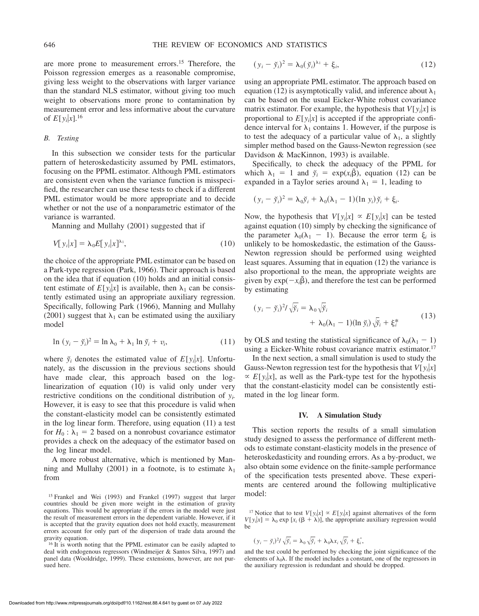are more prone to measurement errors.15 Therefore, the Poisson regression emerges as a reasonable compromise, giving less weight to the observations with larger variance than the standard NLS estimator, without giving too much weight to observations more prone to contamination by measurement error and less informative about the curvature of  $E[y_i|x]$ .<sup>16</sup>

### *B. Testing*

In this subsection we consider tests for the particular pattern of heteroskedasticity assumed by PML estimators, focusing on the PPML estimator. Although PML estimators are consistent even when the variance function is misspecified, the researcher can use these tests to check if a different PML estimator would be more appropriate and to decide whether or not the use of a nonparametric estimator of the variance is warranted.

Manning and Mullahy (2001) suggested that if

$$
V[y_i|x] = \lambda_0 E[y_i|x]^{\lambda_1},\tag{10}
$$

the choice of the appropriate PML estimator can be based on a Park-type regression (Park, 1966). Their approach is based on the idea that if equation (10) holds and an initial consistent estimate of  $E[y_i|x]$  is available, then  $\lambda_1$  can be consistently estimated using an appropriate auxiliary regression. Specifically, following Park (1966), Manning and Mullahy (2001) suggest that  $\lambda_1$  can be estimated using the auxiliary model

$$
\ln (y_i - \breve{y}_i)^2 = \ln \lambda_0 + \lambda_1 \ln \breve{y}_i + v_i, \qquad (11)
$$

where  $\ddot{y}_i$  denotes the estimated value of  $E[y_i|x]$ . Unfortunately, as the discussion in the previous sections should have made clear, this approach based on the loglinearization of equation (10) is valid only under very restrictive conditions on the conditional distribution of *yi.* However, it is easy to see that this procedure is valid when the constant-elasticity model can be consistently estimated in the log linear form. Therefore, using equation (11) a test for  $H_0$ :  $\lambda_1$  = 2 based on a nonrobust covariance estimator provides a check on the adequacy of the estimator based on the log linear model.

A more robust alternative, which is mentioned by Manning and Mullahy (2001) in a footnote, is to estimate  $\lambda_1$ from

$$
(y_i - \breve{y}_i)^2 = \lambda_0 (\breve{y}_i)^{\lambda_1} + \xi_i,
$$
\n(12)

using an appropriate PML estimator. The approach based on equation (12) is asymptotically valid, and inference about  $\lambda_1$ can be based on the usual Eicker-White robust covariance matrix estimator. For example, the hypothesis that  $V[y_i|x]$  is proportional to  $E[y_i|x]$  is accepted if the appropriate confidence interval for  $\lambda_1$  contains 1. However, if the purpose is to test the adequacy of a particular value of  $\lambda_1$ , a slightly simpler method based on the Gauss-Newton regression (see Davidson & MacKinnon, 1993) is available.

Specifically, to check the adequacy of the PPML for which  $\lambda_1 = 1$  and  $\tilde{y}_i = \exp(x_i\tilde{\beta})$ , equation (12) can be expanded in a Taylor series around  $\lambda_1 = 1$ , leading to

$$
(y_i - \breve{y}_i)^2 = \lambda_0 \breve{y}_i + \lambda_0 (\lambda_1 - 1)(\ln y_i) \breve{y}_i + \xi_i.
$$

Now, the hypothesis that  $V[y_i|x] \propto E[y_i|x]$  can be tested against equation (10) simply by checking the significance of the parameter  $\lambda_0(\lambda_1 - 1)$ . Because the error term  $\xi_i$  is unlikely to be homoskedastic, the estimation of the Gauss-Newton regression should be performed using weighted least squares. Assuming that in equation (12) the variance is also proportional to the mean, the appropriate weights are given by  $exp(-x_i\tilde{\beta})$ , and therefore the test can be performed by estimating

$$
(y_i - \breve{y}_i)^2 / \sqrt{\breve{y}_i} = \lambda_0 \sqrt{\breve{y}_i} + \lambda_0 (\lambda_1 - 1) (\ln \breve{y}_i) \sqrt{\breve{y}_i} + \xi_i^* \tag{13}
$$

by OLS and testing the statistical significance of  $\lambda_0(\lambda_1 - 1)$ using a Eicker-White robust covariance matrix estimator.<sup>17</sup>

In the next section, a small simulation is used to study the Gauss-Newton regression test for the hypothesis that  $V[y_i|x]$  $\propto E[y_i|x]$ , as well as the Park-type test for the hypothesis that the constant-elasticity model can be consistently estimated in the log linear form.

### **IV. A Simulation Study**

This section reports the results of a small simulation study designed to assess the performance of different methods to estimate constant-elasticity models in the presence of heteroskedasticity and rounding errors. As a by-product, we also obtain some evidence on the finite-sample performance of the specification tests presented above. These experiments are centered around the following multiplicative

<sup>17</sup> Notice that to test  $V[y_i|x] \propto E[y_i|x]$  against alternatives of the form  $V[y_i|x] = \lambda_0 \exp [x_i (\beta + \lambda)]$ , the appropriate auxiliary regression would be

$$
(y_i - \breve{y}_i)^2 / \sqrt{\breve{y}_i} = \lambda_0 \sqrt{\breve{y}_i} + \lambda_0 \lambda x_i \sqrt{\breve{y}_i} + \xi_i^*,
$$

and the test could be performed by checking the joint significance of the elements of  $\lambda_0 \lambda$ . If the model includes a constant, one of the regressors in the auxiliary regression is redundant and should be dropped.

<sup>&</sup>lt;sup>15</sup> Frankel and Wei (1993) and Frankel (1997) suggest that larger model: countries should be given more weight in the estimation of gravity equations. This would be appropriate if the errors in the model were just the result of measurement errors in the dependent variable. However, if it is accepted that the gravity equation does not hold exactly, measurement errors account for only part of the dispersion of trade data around the gravity equation.

<sup>&</sup>lt;sup>16</sup> It is worth noting that the PPML estimator can be easily adapted to deal with endogenous regressors (Windmeijer & Santos Silva, 1997) and panel data (Wooldridge, 1999). These extensions, however, are not pursued here.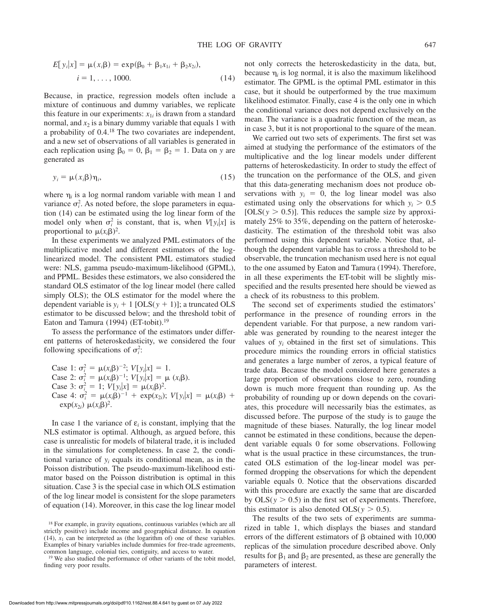Because, in practice, regression models often include a mixture of continuous and dummy variables, we replicate this feature in our experiments:  $x_{1i}$  is drawn from a standard normal, and  $x_2$  is a binary dummy variable that equals 1 with a probability of 0.4.18 The two covariates are independent, and a new set of observations of all variables is generated in each replication using  $\beta_0 = 0$ ,  $\beta_1 = \beta_2 = 1$ . Data on *y* are generated as

$$
y_i = \mu(x_i \beta) \eta_i,\tag{15}
$$

where  $\eta_i$  is a log normal random variable with mean 1 and variance  $\sigma_i^2$ . As noted before, the slope parameters in equation (14) can be estimated using the log linear form of the model only when  $\sigma_i^2$  is constant, that is, when  $V[y_i|x]$  is proportional to  $\mu(x_i\beta)^2$ .

In these experiments we analyzed PML estimators of the multiplicative model and different estimators of the loglinearized model. The consistent PML estimators studied were: NLS, gamma pseudo-maximum-likelihood (GPML), and PPML. Besides these estimators, we also considered the standard OLS estimator of the log linear model (here called simply OLS); the OLS estimator for the model where the dependent variable is  $y_i + 1$  [OLS( $y + 1$ )]; a truncated OLS estimator to be discussed below; and the threshold tobit of Eaton and Tamura (1994) (ET-tobit).19

To assess the performance of the estimators under different patterns of heteroskedasticity, we considered the four following specifications of  $\sigma_i^2$ :

Case 1: 
$$
\sigma_i^2 = \mu(x_i\beta)^{-2}
$$
;  $V[y_i|x] = 1$ .  
\nCase 2:  $\sigma_i^2 = \mu(x_i\beta)^{-1}$ ;  $V[y_i|x] = \mu(x_i\beta)$ .  
\nCase 3:  $\sigma_i^2 = 1$ ;  $V[y_i|x] = \mu(x_i\beta)^2$ .  
\nCase 4:  $\sigma_i^2 = \mu(x_i\beta)^{-1} + \exp(x_{2i})$ ;  $V[y_i|x] = \mu(x_i\beta) + \exp(x_{2i}) \mu(x_i\beta)^2$ .

In case 1 the variance of  $\varepsilon$ <sub>*i*</sub> is constant, implying that the NLS estimator is optimal. Although, as argued before, this case is unrealistic for models of bilateral trade, it is included in the simulations for completeness. In case 2, the conditional variance of *yi* equals its conditional mean, as in the Poisson distribution. The pseudo-maximum-likelihood estimator based on the Poisson distribution is optimal in this situation. Case 3 is the special case in which OLS estimation of the log linear model is consistent for the slope parameters of equation (14). Moreover, in this case the log linear model not only corrects the heteroskedasticity in the data, but, because  $\eta_i$  is log normal, it is also the maximum likelihood estimator. The GPML is the optimal PML estimator in this case, but it should be outperformed by the true maximum likelihood estimator. Finally, case 4 is the only one in which the conditional variance does not depend exclusively on the mean. The variance is a quadratic function of the mean, as in case 3, but it is not proportional to the square of the mean.

We carried out two sets of experiments. The first set was aimed at studying the performance of the estimators of the multiplicative and the log linear models under different patterns of heteroskedasticity. In order to study the effect of the truncation on the performance of the OLS, and given that this data-generating mechanism does not produce observations with  $y_i = 0$ , the log linear model was also estimated using only the observations for which  $y_i > 0.5$  $[OLS(y > 0.5)]$ . This reduces the sample size by approximately 25% to 35%, depending on the pattern of heteroskedasticity. The estimation of the threshold tobit was also performed using this dependent variable. Notice that, although the dependent variable has to cross a threshold to be observable, the truncation mechanism used here is not equal to the one assumed by Eaton and Tamura (1994). Therefore, in all these experiments the ET-tobit will be slightly misspecified and the results presented here should be viewed as a check of its robustness to this problem.

The second set of experiments studied the estimators' performance in the presence of rounding errors in the dependent variable. For that purpose, a new random variable was generated by rounding to the nearest integer the values of *yi* obtained in the first set of simulations. This procedure mimics the rounding errors in official statistics and generates a large number of zeros, a typical feature of trade data. Because the model considered here generates a large proportion of observations close to zero, rounding down is much more frequent than rounding up. As the probability of rounding up or down depends on the covariates, this procedure will necessarily bias the estimates, as discussed before. The purpose of the study is to gauge the magnitude of these biases. Naturally, the log linear model cannot be estimated in these conditions, because the dependent variable equals 0 for some observations. Following what is the usual practice in these circumstances, the truncated OLS estimation of the log-linear model was performed dropping the observations for which the dependent variable equals 0. Notice that the observations discarded with this procedure are exactly the same that are discarded by  $OLS(y > 0.5)$  in the first set of experiments. Therefore, this estimator is also denoted OLS( $y > 0.5$ ).

The results of the two sets of experiments are summarized in table 1, which displays the biases and standard errors of the different estimators of  $\beta$  obtained with 10,000 replicas of the simulation procedure described above. Only results for  $\beta_1$  and  $\beta_2$  are presented, as these are generally the parameters of interest.

<sup>18</sup> For example, in gravity equations, continuous variables (which are all strictly positive) include income and geographical distance. In equation (14),  $x_1$  can be interpreted as (the logarithm of) one of these variables. Examples of binary variables include dummies for free-trade agreements, common language, colonial ties, contiguity, and access to water.

<sup>&</sup>lt;sup>19</sup> We also studied the performance of other variants of the tobit model, finding very poor results.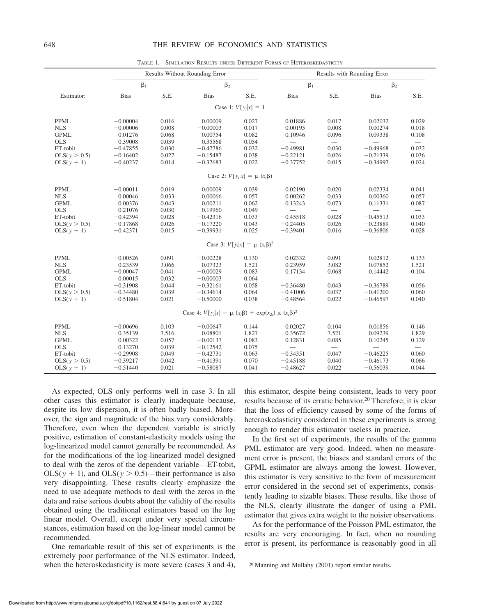|              |             |       | Results Without Rounding Error                                      |                                      |                          |                          | Results with Rounding Error |                          |
|--------------|-------------|-------|---------------------------------------------------------------------|--------------------------------------|--------------------------|--------------------------|-----------------------------|--------------------------|
|              | $\beta_1$   |       | $\beta_2$                                                           |                                      | $\beta_1$                |                          | $\beta_2$                   |                          |
| Estimator:   | <b>Bias</b> | S.E.  | <b>Bias</b>                                                         | S.E.                                 | <b>Bias</b>              | S.E.                     | <b>Bias</b>                 | S.E.                     |
|              |             |       |                                                                     | Case 1: $V[y_i x] = 1$               |                          |                          |                             |                          |
| <b>PPML</b>  | $-0.00004$  | 0.016 | 0.00009                                                             | 0.027                                | 0.01886                  | 0.017                    | 0.02032                     | 0.029                    |
| <b>NLS</b>   | $-0.00006$  | 0.008 | $-0.00003$                                                          | 0.017                                | 0.00195                  | 0.008                    | 0.00274                     | 0.018                    |
| <b>GPML</b>  | 0.01276     | 0.068 | 0.00754                                                             | 0.082                                | 0.10946                  | 0.096                    | 0.09338                     | 0.108                    |
| <b>OLS</b>   | 0.39008     | 0.039 | 0.35568                                                             | 0.054                                | $\overline{\phantom{0}}$ | $\overline{\phantom{m}}$ |                             |                          |
| ET-tobit     | $-0.47855$  | 0.030 | $-0.47786$                                                          | 0.032                                | $-0.49981$               | 0.030                    | $-0.49968$                  | 0.032                    |
| OLS(v > 0.5) | $-0.16402$  | 0.027 | $-0.15487$                                                          | 0.038                                | $-0.22121$               | 0.026                    | $-0.21339$                  | 0.036                    |
| $OLS(v + 1)$ | $-0.40237$  | 0.014 | $-0.37683$                                                          | 0.022                                | $-0.37752$               | 0.015                    | $-0.34997$                  | 0.024                    |
|              |             |       |                                                                     | Case 2: $V[y_i x] = \mu(x_i\beta)$   |                          |                          |                             |                          |
| PPML         | $-0.00011$  | 0.019 | 0.00009                                                             | 0.039                                | 0.02190                  | 0.020                    | 0.02334                     | 0.041                    |
| <b>NLS</b>   | 0.00046     | 0.033 | 0.00066                                                             | 0.057                                | 0.00262                  | 0.033                    | 0.00360                     | 0.057                    |
| <b>GPML</b>  | 0.00376     | 0.043 | 0.00211                                                             | 0.062                                | 0.13243                  | 0.073                    | 0.11331                     | 0.087                    |
| <b>OLS</b>   | 0.21076     | 0.030 | 0.19960                                                             | 0.049                                | $\overline{\phantom{0}}$ |                          |                             |                          |
| ET-tobit     | $-0.42394$  | 0.028 | $-0.42316$                                                          | 0.033                                | $-0.45518$               | 0.028                    | $-0.45513$                  | 0.033                    |
| OLS(v > 0.5) | $-0.17868$  | 0.026 | $-0.17220$                                                          | 0.043                                | $-0.24405$               | 0.026                    | $-0.23889$                  | 0.040                    |
| $OLS(y + 1)$ | $-0.42371$  | 0.015 | $-0.39931$                                                          | 0.025                                | $-0.39401$               | 0.016                    | $-0.36806$                  | 0.028                    |
|              |             |       |                                                                     | Case 3: $V[y_i x] = \mu(x_i\beta)^2$ |                          |                          |                             |                          |
| <b>PPML</b>  | $-0.00526$  | 0.091 | $-0.00228$                                                          | 0.130                                | 0.02332                  | 0.091                    | 0.02812                     | 0.133                    |
| <b>NLS</b>   | 0.23539     | 3.066 | 0.07323                                                             | 1.521                                | 0.23959                  | 3.082                    | 0.07852                     | 1.521                    |
| <b>GPML</b>  | $-0.00047$  | 0.041 | $-0.00029$                                                          | 0.083                                | 0.17134                  | 0.068                    | 0.14442                     | 0.104                    |
| <b>OLS</b>   | 0.00015     | 0.032 | $-0.00003$                                                          | 0.064                                | $\overline{\phantom{0}}$ |                          |                             | $\overline{\phantom{0}}$ |
| ET-tobit     | $-0.31908$  | 0.044 | $-0.32161$                                                          | 0.058                                | $-0.36480$               | 0.043                    | $-0.36789$                  | 0.056                    |
| OLS(y > 0.5) | $-0.34480$  | 0.039 | $-0.34614$                                                          | 0.064                                | $-0.41006$               | 0.037                    | $-0.41200$                  | 0.060                    |
| $OLS(y + 1)$ | $-0.51804$  | 0.021 | $-0.50000$                                                          | 0.038                                | $-0.48564$               | 0.022                    | $-0.46597$                  | 0.040                    |
|              |             |       | Case 4: $V[y_i x] = \mu(x_i\beta) + \exp(x_i\beta) \mu(x_i\beta)^2$ |                                      |                          |                          |                             |                          |
| <b>PPML</b>  | $-0.00696$  | 0.103 | $-0.00647$                                                          | 0.144                                | 0.02027                  | 0.104                    | 0.01856                     | 0.146                    |
| <b>NLS</b>   | 0.35139     | 7.516 | 0.08801                                                             | 1.827                                | 0.35672                  | 7.521                    | 0.09239                     | 1.829                    |
| <b>GPML</b>  | 0.00322     | 0.057 | $-0.00137$                                                          | 0.083                                | 0.12831                  | 0.085                    | 0.10245                     | 0.129                    |
| <b>OLS</b>   | 0.13270     | 0.039 | $-0.12542$                                                          | 0.075                                | $\overline{\phantom{0}}$ | $\qquad \qquad$          |                             | $\equiv$                 |
| ET-tobit     | $-0.29908$  | 0.049 | $-0.42731$                                                          | 0.063                                | $-0.34351$               | 0.047                    | $-0.46225$                  | 0.060                    |
| OLS(v > 0.5) | $-0.39217$  | 0.042 | $-0.41391$                                                          | 0.070                                | $-0.45188$               | 0.040                    | $-0.46173$                  | 0.066                    |
| $OLS(y + 1)$ | $-0.51440$  | 0.021 | $-0.58087$                                                          | 0.041                                | $-0.48627$               | 0.022                    | $-0.56039$                  | 0.044                    |
|              |             |       |                                                                     |                                      |                          |                          |                             |                          |

TABLE 1.—SIMULATION RESULTS UNDER DIFFERENT FORMS OF HETEROSKEDASTICITY

As expected, OLS only performs well in case 3. In all other cases this estimator is clearly inadequate because, despite its low dispersion, it is often badly biased. Moreover, the sign and magnitude of the bias vary considerably. Therefore, even when the dependent variable is strictly positive, estimation of constant-elasticity models using the log-linearized model cannot generally be recommended. As for the modifications of the log-linearized model designed to deal with the zeros of the dependent variable—ET-tobit, OLS( $y + 1$ ), and OLS( $y > 0.5$ )—their performance is also very disappointing. These results clearly emphasize the need to use adequate methods to deal with the zeros in the data and raise serious doubts about the validity of the results obtained using the traditional estimators based on the log linear model. Overall, except under very special circumstances, estimation based on the log-linear model cannot be recommended.

One remarkable result of this set of experiments is the extremely poor performance of the NLS estimator. Indeed, when the heteroskedasticity is more severe (cases 3 and 4), this estimator, despite being consistent, leads to very poor results because of its erratic behavior.<sup>20</sup> Therefore, it is clear that the loss of efficiency caused by some of the forms of heteroskedasticity considered in these experiments is strong enough to render this estimator useless in practice.

In the first set of experiments, the results of the gamma PML estimator are very good. Indeed, when no measurement error is present, the biases and standard errors of the GPML estimator are always among the lowest. However, this estimator is very sensitive to the form of measurement error considered in the second set of experiments, consistently leading to sizable biases. These results, like those of the NLS, clearly illustrate the danger of using a PML estimator that gives extra weight to the noisier observations.

As for the performance of the Poisson PML estimator, the results are very encouraging. In fact, when no rounding error is present, its performance is reasonably good in all

<sup>20</sup> Manning and Mullahy (2001) report similar results.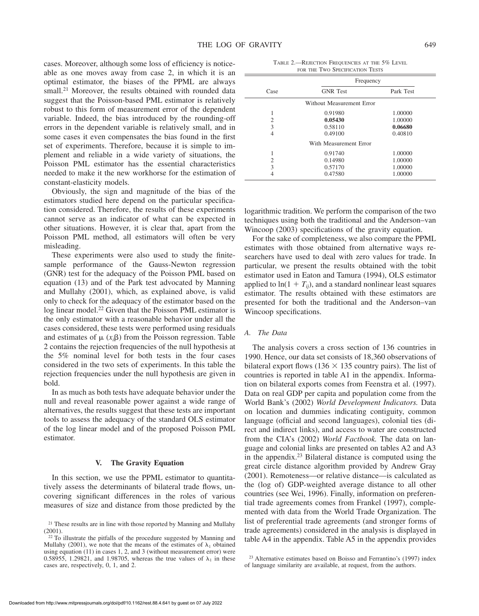cases. Moreover, although some loss of efficiency is noticeable as one moves away from case 2, in which it is an optimal estimator, the biases of the PPML are always small.<sup>21</sup> Moreover, the results obtained with rounded data suggest that the Poisson-based PML estimator is relatively robust to this form of measurement error of the dependent variable. Indeed, the bias introduced by the rounding-off errors in the dependent variable is relatively small, and in some cases it even compensates the bias found in the first set of experiments. Therefore, because it is simple to implement and reliable in a wide variety of situations, the Poisson PML estimator has the essential characteristics needed to make it the new workhorse for the estimation of constant-elasticity models.

Obviously, the sign and magnitude of the bias of the estimators studied here depend on the particular specification considered. Therefore, the results of these experiments cannot serve as an indicator of what can be expected in other situations. However, it is clear that, apart from the Poisson PML method, all estimators will often be very misleading.

These experiments were also used to study the finitesample performance of the Gauss-Newton regression (GNR) test for the adequacy of the Poisson PML based on equation (13) and of the Park test advocated by Manning and Mullahy (2001), which, as explained above, is valid only to check for the adequacy of the estimator based on the log linear model.<sup>22</sup> Given that the Poisson PML estimator is the only estimator with a reasonable behavior under all the cases considered, these tests were performed using residuals and estimates of  $\mu$  ( $x_i$  $\beta$ ) from the Poisson regression. Table 2 contains the rejection frequencies of the null hypothesis at the 5% nominal level for both tests in the four cases considered in the two sets of experiments. In this table the rejection frequencies under the null hypothesis are given in bold.

In as much as both tests have adequate behavior under the null and reveal reasonable power against a wide range of alternatives, the results suggest that these tests are important tools to assess the adequacy of the standard OLS estimator of the log linear model and of the proposed Poisson PML estimator.

### **V. The Gravity Equation**

In this section, we use the PPML estimator to quantitatively assess the determinants of bilateral trade flows, uncovering significant differences in the roles of various measures of size and distance from those predicted by the

TABLE 2.—REJECTION FREQUENCIES AT THE 5% LEVEL FOR THE TWO SPECIFICATION TESTS

| <b>GNR</b> Test | Park Test |                                                                  |
|-----------------|-----------|------------------------------------------------------------------|
|                 |           |                                                                  |
| 0.91980         | 1.00000   |                                                                  |
| 0.05430         | 1.00000   |                                                                  |
| 0.58110         | 0.06680   |                                                                  |
| 0.49100         | 0.40810   |                                                                  |
|                 |           |                                                                  |
| 0.91740         | 1.00000   |                                                                  |
| 0.14980         | 1.00000   |                                                                  |
| 0.57170         | 1.00000   |                                                                  |
| 0.47580         | 1.00000   |                                                                  |
|                 |           | Frequency<br>Without Measurement Error<br>With Measurement Error |

logarithmic tradition. We perform the comparison of the two techniques using both the traditional and the Anderson–van Wincoop (2003) specifications of the gravity equation.

For the sake of completeness, we also compare the PPML estimates with those obtained from alternative ways researchers have used to deal with zero values for trade. In particular, we present the results obtained with the tobit estimator used in Eaton and Tamura (1994), OLS estimator applied to  $ln(1 + T_{ii})$ , and a standard nonlinear least squares estimator. The results obtained with these estimators are presented for both the traditional and the Anderson–van Wincoop specifications.

### *A. The Data*

The analysis covers a cross section of 136 countries in 1990. Hence, our data set consists of 18,360 observations of bilateral export flows (136  $\times$  135 country pairs). The list of countries is reported in table A1 in the appendix. Information on bilateral exports comes from Feenstra et al. (1997). Data on real GDP per capita and population come from the World Bank's (2002) *World Development Indicators.* Data on location and dummies indicating contiguity, common language (official and second languages), colonial ties (direct and indirect links), and access to water are constructed from the CIA's (2002) *World Factbook.* The data on language and colonial links are presented on tables A2 and A3 in the appendix.23 Bilateral distance is computed using the great circle distance algorithm provided by Andrew Gray (2001). Remoteness—or relative distance—is calculated as the (log of) GDP-weighted average distance to all other countries (see Wei, 1996). Finally, information on preferential trade agreements comes from Frankel (1997), complemented with data from the World Trade Organization. The list of preferential trade agreements (and stronger forms of trade agreements) considered in the analysis is displayed in table A4 in the appendix. Table A5 in the appendix provides

<sup>&</sup>lt;sup>21</sup> These results are in line with those reported by Manning and Mullahy (2001).

<sup>&</sup>lt;sup>22</sup> To illustrate the pitfalls of the procedure suggested by Manning and Mullahy (2001), we note that the means of the estimates of  $\lambda_1$  obtained using equation (11) in cases 1, 2, and 3 (without measurement error) were 0.58955, 1.29821, and 1.98705, whereas the true values of  $\lambda_1$  in these cases are, respectively, 0, 1, and 2.

<sup>23</sup> Alternative estimates based on Boisso and Ferrantino's (1997) index of language similarity are available, at request, from the authors.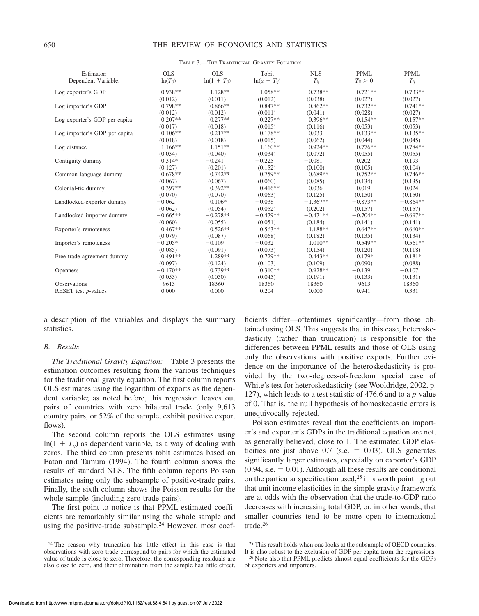| Estimator:                    | <b>OLS</b>   | <b>OLS</b>       | Tobit            | <b>NLS</b> | <b>PPML</b>  | <b>PPML</b> |
|-------------------------------|--------------|------------------|------------------|------------|--------------|-------------|
| Dependent Variable:           | $ln(T_{ij})$ | $ln(1 + T_{ii})$ | $ln(a + T_{ii})$ | $T_{ii}$   | $T_{ii} > 0$ | $T_{ij}$    |
| Log exporter's GDP            | $0.938**$    | $1.128**$        | $1.058**$        | $0.738**$  | $0.721**$    | $0.733**$   |
|                               | (0.012)      | (0.011)          | (0.012)          | (0.038)    | (0.027)      | (0.027)     |
| Log importer's GDP            | $0.798**$    | $0.866**$        | $0.847**$        | $0.862**$  | $0.732**$    | $0.741**$   |
|                               | (0.012)      | (0.012)          | (0.011)          | (0.041)    | (0.028)      | (0.027)     |
| Log exporter's GDP per capita | $0.207**$    | $0.277**$        | $0.227**$        | $0.396**$  | $0.154**$    | $0.157**$   |
|                               | (0.017)      | (0.018)          | (0.015)          | (0.116)    | (0.053)      | (0.053)     |
| Log importer's GDP per capita | $0.106**$    | $0.217**$        | $0.178**$        | $-0.033$   | $0.133**$    | $0.135**$   |
|                               | (0.018)      | (0.018)          | (0.015)          | (0.062)    | (0.044)      | (0.045)     |
| Log distance                  | $-1.166**$   | $-1.151**$       | $-1.160**$       | $-0.924**$ | $-0.776**$   | $-0.784**$  |
|                               | (0.034)      | (0.040)          | (0.034)          | (0.072)    | (0.055)      | (0.055)     |
| Contiguity dummy              | $0.314*$     | $-0.241$         | $-0.225$         | $-0.081$   | 0.202        | 0.193       |
|                               | (0.127)      | (0.201)          | (0.152)          | (0.100)    | (0.105)      | (0.104)     |
| Common-language dummy         | $0.678**$    | $0.742**$        | $0.759**$        | $0.689**$  | $0.752**$    | $0.746**$   |
|                               | (0.067)      | (0.067)          | (0.060)          | (0.085)    | (0.134)      | (0.135)     |
| Colonial-tie dummy            | $0.397**$    | $0.392**$        | $0.416**$        | 0.036      | 0.019        | 0.024       |
|                               | (0.070)      | (0.070)          | (0.063)          | (0.125)    | (0.150)      | (0.150)     |
| Landlocked-exporter dummy     | $-0.062$     | $0.106*$         | $-0.038$         | $-1.367**$ | $-0.873**$   | $-0.864**$  |
|                               | (0.062)      | (0.054)          | (0.052)          | (0.202)    | (0.157)      | (0.157)     |
| Landlocked-importer dummy     | $-0.665**$   | $-0.278**$       | $-0.479**$       | $-0.471**$ | $-0.704**$   | $-0.697**$  |
|                               | (0.060)      | (0.055)          | (0.051)          | (0.184)    | (0.141)      | (0.141)     |
| Exporter's remoteness         | $0.467**$    | $0.526**$        | $0.563**$        | $1.188**$  | $0.647**$    | $0.660**$   |
|                               | (0.079)      | (0.087)          | (0.068)          | (0.182)    | (0.135)      | (0.134)     |
| Importer's remoteness         | $-0.205*$    | $-0.109$         | $-0.032$         | $1.010**$  | $0.549**$    | $0.561**$   |
|                               | (0.085)      | (0.091)          | (0.073)          | (0.154)    | (0.120)      | (0.118)     |
| Free-trade agreement dummy    | $0.491**$    | 1.289**          | $0.729**$        | $0.443**$  | $0.179*$     | $0.181*$    |
|                               | (0.097)      | (0.124)          | (0.103)          | (0.109)    | (0.090)      | (0.088)     |
| <b>Openness</b>               | $-0.170**$   | $0.739**$        | $0.310**$        | $0.928**$  | $-0.139$     | $-0.107$    |
|                               | (0.053)      | (0.050)          | (0.045)          | (0.191)    | (0.133)      | (0.131)     |
| <b>Observations</b>           | 9613         | 18360            | 18360            | 18360      | 9613         | 18360       |
| RESET test $p$ -values        | 0.000        | 0.000            | 0.204            | 0.000      | 0.941        | 0.331       |

TABLE 3.—THE TRADITIONAL GRAVITY EQUATION

a description of the variables and displays the summary statistics.

### *B. Results*

*The Traditional Gravity Equation:* Table 3 presents the estimation outcomes resulting from the various techniques for the traditional gravity equation. The first column reports OLS estimates using the logarithm of exports as the dependent variable; as noted before, this regression leaves out pairs of countries with zero bilateral trade (only 9,613 country pairs, or 52% of the sample, exhibit positive export flows).

The second column reports the OLS estimates using  $ln(1 + T_{ii})$  as dependent variable, as a way of dealing with zeros. The third column presents tobit estimates based on Eaton and Tamura (1994). The fourth column shows the results of standard NLS. The fifth column reports Poisson estimates using only the subsample of positive-trade pairs. Finally, the sixth column shows the Poisson results for the whole sample (including zero-trade pairs).

The first point to notice is that PPML-estimated coefficients are remarkably similar using the whole sample and using the positive-trade subsample.24 However, most coefficients differ—oftentimes significantly—from those obtained using OLS. This suggests that in this case, heteroskedasticity (rather than truncation) is responsible for the differences between PPML results and those of OLS using only the observations with positive exports. Further evidence on the importance of the heteroskedasticity is provided by the two-degrees-of-freedom special case of White's test for heteroskedasticity (see Wooldridge, 2002, p. 127), which leads to a test statistic of 476.6 and to a *p*-value of 0. That is, the null hypothesis of homoskedastic errors is unequivocally rejected.

Poisson estimates reveal that the coefficients on importer's and exporter's GDPs in the traditional equation are not, as generally believed, close to 1. The estimated GDP elasticities are just above  $0.7$  (s.e.  $= 0.03$ ). OLS generates significantly larger estimates, especially on exporter's GDP  $(0.94, s.e. = 0.01)$ . Although all these results are conditional on the particular specification used, $2<sup>5</sup>$  it is worth pointing out that unit income elasticities in the simple gravity framework are at odds with the observation that the trade-to-GDP ratio decreases with increasing total GDP, or, in other words, that smaller countries tend to be more open to international trade.26

<sup>&</sup>lt;sup>24</sup> The reason why truncation has little effect in this case is that observations with zero trade correspond to pairs for which the estimated value of trade is close to zero. Therefore, the corresponding residuals are also close to zero, and their elimination from the sample has little effect.

<sup>&</sup>lt;sup>25</sup> This result holds when one looks at the subsample of OECD countries.

It is also robust to the exclusion of GDP per capita from the regressions. <sup>26</sup> Note also that PPML predicts almost equal coefficients for the GDPs of exporters and importers.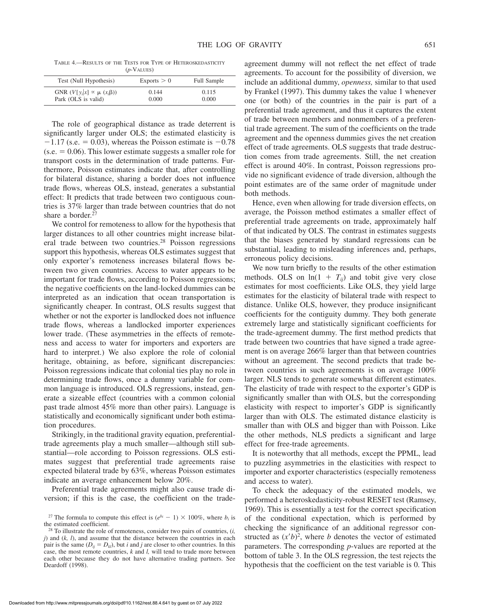TABLE 4.—RESULTS OF THE TESTS FOR TYPE OF HETEROSKEDASTICITY (*p*-VALUES)

| Test (Null Hypothesis)                 | Exports > 0 | Full Sample |
|----------------------------------------|-------------|-------------|
| GNR $(V[y_i x] \propto \mu(x_i\beta))$ | 0.144       | 0.115       |
| Park (OLS is valid)                    | 0.000       | 0.000       |

The role of geographical distance as trade deterrent is significantly larger under OLS; the estimated elasticity is  $-1.17$  (s.e.  $= 0.03$ ), whereas the Poisson estimate is  $-0.78$  $(s.e. = 0.06)$ . This lower estimate suggests a smaller role for transport costs in the determination of trade patterns. Furthermore, Poisson estimates indicate that, after controlling for bilateral distance, sharing a border does not influence trade flows, whereas OLS, instead, generates a substantial effect: It predicts that trade between two contiguous countries is 37% larger than trade between countries that do not share a border.<sup>27</sup>

We control for remoteness to allow for the hypothesis that larger distances to all other countries might increase bilateral trade between two countries.28 Poisson regressions support this hypothesis, whereas OLS estimates suggest that only exporter's remoteness increases bilateral flows between two given countries. Access to water appears to be important for trade flows, according to Poisson regressions; the negative coefficients on the land-locked dummies can be interpreted as an indication that ocean transportation is significantly cheaper. In contrast, OLS results suggest that whether or not the exporter is landlocked does not influence trade flows, whereas a landlocked importer experiences lower trade. (These asymmetries in the effects of remoteness and access to water for importers and exporters are hard to interpret.) We also explore the role of colonial heritage, obtaining, as before, significant discrepancies: Poisson regressions indicate that colonial ties play no role in determining trade flows, once a dummy variable for common language is introduced. OLS regressions, instead, generate a sizeable effect (countries with a common colonial past trade almost 45% more than other pairs). Language is statistically and economically significant under both estimation procedures.

Strikingly, in the traditional gravity equation, preferentialtrade agreements play a much smaller—although still substantial—role according to Poisson regressions. OLS estimates suggest that preferential trade agreements raise expected bilateral trade by 63%, whereas Poisson estimates indicate an average enhancement below 20%.

Preferential trade agreements might also cause trade diversion; if this is the case, the coefficient on the tradeagreement dummy will not reflect the net effect of trade agreements. To account for the possibility of diversion, we include an additional dummy, *openness,* similar to that used by Frankel (1997). This dummy takes the value 1 whenever one (or both) of the countries in the pair is part of a preferential trade agreement, and thus it captures the extent of trade between members and nonmembers of a preferential trade agreement. The sum of the coefficients on the trade agreement and the openness dummies gives the net creation effect of trade agreements. OLS suggests that trade destruction comes from trade agreements. Still, the net creation effect is around 40%. In contrast, Poisson regressions provide no significant evidence of trade diversion, although the point estimates are of the same order of magnitude under both methods.

Hence, even when allowing for trade diversion effects, on average, the Poisson method estimates a smaller effect of preferential trade agreements on trade, approximately half of that indicated by OLS. The contrast in estimates suggests that the biases generated by standard regressions can be substantial, leading to misleading inferences and, perhaps, erroneous policy decisions.

We now turn briefly to the results of the other estimation methods. OLS on  $ln(1 + T_{ij})$  and tobit give very close estimates for most coefficients. Like OLS, they yield large estimates for the elasticity of bilateral trade with respect to distance. Unlike OLS, however, they produce insignificant coefficients for the contiguity dummy. They both generate extremely large and statistically significant coefficients for the trade-agreement dummy. The first method predicts that trade between two countries that have signed a trade agreement is on average 266% larger than that between countries without an agreement. The second predicts that trade between countries in such agreements is on average 100% larger. NLS tends to generate somewhat different estimates. The elasticity of trade with respect to the exporter's GDP is significantly smaller than with OLS, but the corresponding elasticity with respect to importer's GDP is significantly larger than with OLS. The estimated distance elasticity is smaller than with OLS and bigger than with Poisson. Like the other methods, NLS predicts a significant and large effect for free-trade agreements.

It is noteworthy that all methods, except the PPML, lead to puzzling asymmetries in the elasticities with respect to importer and exporter characteristics (especially remoteness and access to water).

To check the adequacy of the estimated models, we performed a heteroskedasticity-robust RESET test (Ramsey, 1969). This is essentially a test for the correct specification of the conditional expectation, which is performed by checking the significance of an additional regressor constructed as  $(x'b)^2$ , where *b* denotes the vector of estimated parameters. The corresponding *p*-values are reported at the bottom of table 3. In the OLS regression, the test rejects the hypothesis that the coefficient on the test variable is 0. This

<sup>&</sup>lt;sup>27</sup> The formula to compute this effect is  $(e^{b_i} - 1) \times 100\%$ , where *b<sub>i</sub>* is the estimated coefficient.

<sup>28</sup> To illustrate the role of remoteness, consider two pairs of countries, (*i, j*) and (*k, l*), and assume that the distance between the countries in each pair is the same  $(D_{ij} = D_{kl})$ , but *i* and *j* are closer to other countries. In this case, the most remote countries, *k* and *l,* will tend to trade more between each other because they do not have alternative trading partners. See Deardoff (1998).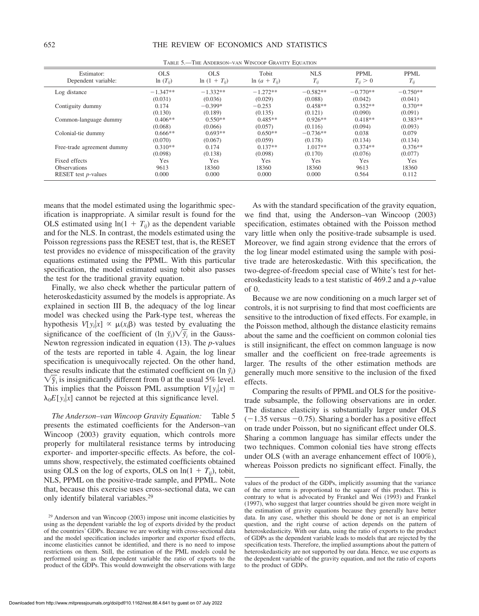| Estimator:<br>Dependent variable: | <b>OLS</b><br>$ln(T_{ii})$ | <b>OLS</b><br>$\ln (1 + T_{ii})$ | Tobit<br>$\ln\left(a+T_{ii}\right)$ | <b>NLS</b><br>$T_{ij}$ | PPML.<br>$T_{ii} > 0$ | PPML.<br>$T_{ij}$ |
|-----------------------------------|----------------------------|----------------------------------|-------------------------------------|------------------------|-----------------------|-------------------|
| Log distance                      | $-1.347**$                 | $-1.332**$                       | $-1.272**$                          | $-0.582**$             | $-0.770**$            | $-0.750**$        |
|                                   | (0.031)                    | (0.036)                          | (0.029)                             | (0.088)                | (0.042)               | (0.041)           |
| Contiguity dummy                  | 0.174                      | $-0.399*$                        | $-0.253$                            | $0.458**$              | $0.352**$             | $0.370**$         |
|                                   | (0.130)                    | (0.189)                          | (0.135)                             | (0.121)                | (0.090)               | (0.091)           |
| Common-language dummy             | $0.406**$                  | $0.550**$                        | $0.485**$                           | $0.926**$              | $0.418**$             | $0.383**$         |
|                                   | (0.068)                    | (0.066)                          | (0.057)                             | (0.116)                | (0.094)               | (0.093)           |
| Colonial-tie dummy                | $0.666**$                  | $0.693**$                        | $0.650**$                           | $-0.736**$             | 0.038                 | 0.079             |
|                                   | (0.070)                    | (0.067)                          | (0.059)                             | (0.178)                | (0.134)               | (0.134)           |
| Free-trade agreement dummy        | $0.310**$                  | 0.174                            | $0.137**$                           | $1.017**$              | $0.374**$             | $0.376**$         |
|                                   | (0.098)                    | (0.138)                          | (0.098)                             | (0.170)                | (0.076)               | (0.077)           |
| Fixed effects                     | Yes                        | Yes                              | Yes                                 | Yes                    | Yes                   | Yes               |
| <b>Observations</b>               | 9613                       | 18360                            | 18360                               | 18360                  | 9613                  | 18360             |
| RESET test $p$ -values            | 0.000                      | 0.000                            | 0.000                               | 0.000                  | 0.564                 | 0.112             |

TABLE 5.—THE ANDERSON–VAN WINCOOP GRAVITY EQUATION

means that the model estimated using the logarithmic specification is inappropriate. A similar result is found for the OLS estimated using  $ln(1 + T_{ij})$  as the dependent variable and for the NLS. In contrast, the models estimated using the Poisson regressions pass the RESET test, that is, the RESET test provides no evidence of misspecification of the gravity equations estimated using the PPML. With this particular specification, the model estimated using tobit also passes the test for the traditional gravity equation.

Finally, we also check whether the particular pattern of heteroskedasticity assumed by the models is appropriate. As explained in section III B, the adequacy of the log linear model was checked using the Park-type test, whereas the hypothesis  $V[y_i|x] \propto \mu(x_i\beta)$  was tested by evaluating the significance of the coefficient of  $(\ln \gamma_i)\sqrt{\gamma_i}$  in the Gauss-Newton regression indicated in equation (13). The *p*-values of the tests are reported in table 4. Again, the log linear specification is unequivocally rejected. On the other hand, these results indicate that the estimated coefficient on  $(\ln \breve{y}_i)$  $\sqrt{\gamma_i}$  is insignificantly different from 0 at the usual 5% level. This implies that the Poisson PML assumption  $V[y_i|x] =$  $\lambda_0 E[y_i|x]$  cannot be rejected at this significance level.

*The Anderson–van Wincoop Gravity Equation:* Table 5 presents the estimated coefficients for the Anderson–van Wincoop (2003) gravity equation, which controls more properly for multilateral resistance terms by introducing exporter- and importer-specific effects. As before, the columns show, respectively, the estimated coefficients obtained using OLS on the log of exports, OLS on  $ln(1 + T_{ii})$ , tobit, NLS, PPML on the positive-trade sample, and PPML. Note that, because this exercise uses cross-sectional data, we can only identify bilateral variables.29

As with the standard specification of the gravity equation, we find that, using the Anderson–van Wincoop (2003) specification, estimates obtained with the Poisson method vary little when only the positive-trade subsample is used. Moreover, we find again strong evidence that the errors of the log linear model estimated using the sample with positive trade are heteroskedastic. With this specification, the two-degree-of-freedom special case of White's test for heteroskedasticity leads to a test statistic of 469.2 and a *p*-value of 0.

Because we are now conditioning on a much larger set of controls, it is not surprising to find that most coefficients are sensitive to the introduction of fixed effects. For example, in the Poisson method, although the distance elasticity remains about the same and the coefficient on common colonial ties is still insignificant, the effect on common language is now smaller and the coefficient on free-trade agreements is larger. The results of the other estimation methods are generally much more sensitive to the inclusion of the fixed effects.

Comparing the results of PPML and OLS for the positivetrade subsample, the following observations are in order. The distance elasticity is substantially larger under OLS  $(-1.35 \text{ versus } -0.75)$ . Sharing a border has a positive effect on trade under Poisson, but no significant effect under OLS. Sharing a common language has similar effects under the two techniques. Common colonial ties have strong effects under OLS (with an average enhancement effect of 100%), whereas Poisson predicts no significant effect. Finally, the

 $29$  Anderson and van Wincoop (2003) impose unit income elasticities by using as the dependent variable the log of exports divided by the product of the countries' GDPs. Because we are working with cross-sectional data and the model specification includes importer and exporter fixed effects, income elasticities cannot be identified, and there is no need to impose restrictions on them. Still, the estimation of the PML models could be performed using as the dependent variable the ratio of exports to the product of the GDPs. This would downweight the observations with large

values of the product of the GDPs, implicitly assuming that the variance of the error term is proportional to the square of this product. This is contrary to what is advocated by Frankel and Wei (1993) and Frankel (1997), who suggest that larger countries should be given more weight in the estimation of gravity equations because they generally have better data. In any case, whether this should be done or not is an empirical question, and the right course of action depends on the pattern of heteroskedasticity. With our data, using the ratio of exports to the product of GDPs as the dependent variable leads to models that are rejected by the specification tests. Therefore, the implied assumptions about the pattern of heteroskedasticity are not supported by our data. Hence, we use exports as the dependent variable of the gravity equation, and not the ratio of exports to the product of GDPs.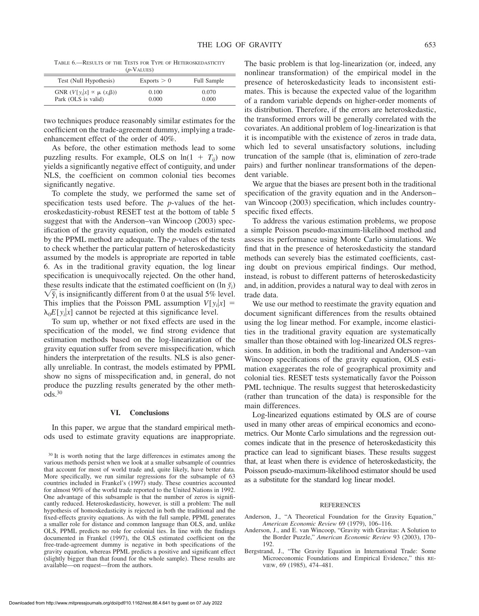TABLE 6.—RESULTS OF THE TESTS FOR TYPE OF HETEROSKEDASTICITY (*p*-VALUES)

| Test (Null Hypothesis)                 | Exports > 0 | Full Sample |
|----------------------------------------|-------------|-------------|
| GNR $(V[y_i x] \propto \mu(x_i\beta))$ | 0.100       | 0.070       |
| Park (OLS is valid)                    | 0.000       | 0.000       |

two techniques produce reasonably similar estimates for the coefficient on the trade-agreement dummy, implying a tradeenhancement effect of the order of 40%.

As before, the other estimation methods lead to some puzzling results. For example, OLS on  $ln(1 + T_{ii})$  now yields a significantly negative effect of contiguity, and under NLS, the coefficient on common colonial ties becomes significantly negative.

To complete the study, we performed the same set of specification tests used before. The *p*-values of the heteroskedasticity-robust RESET test at the bottom of table 5 suggest that with the Anderson–van Wincoop (2003) specification of the gravity equation, only the models estimated by the PPML method are adequate. The *p*-values of the tests to check whether the particular pattern of heteroskedasticity assumed by the models is appropriate are reported in table 6. As in the traditional gravity equation, the log linear specification is unequivocally rejected. On the other hand, these results indicate that the estimated coefficient on  $(\ln \breve{\gamma}_i)$  $\sqrt{\gamma_i}$  is insignificantly different from 0 at the usual 5% level. This implies that the Poisson PML assumption  $V[y_i|x] =$  $\lambda_0 E[y_i|x]$  cannot be rejected at this significance level.

To sum up, whether or not fixed effects are used in the specification of the model, we find strong evidence that estimation methods based on the log-linearization of the gravity equation suffer from severe misspecification, which hinders the interpretation of the results. NLS is also generally unreliable. In contrast, the models estimated by PPML show no signs of misspecification and, in general, do not produce the puzzling results generated by the other methods.30

### **VI. Conclusions**

In this paper, we argue that the standard empirical methods used to estimate gravity equations are inappropriate. The basic problem is that log-linearization (or, indeed, any nonlinear transformation) of the empirical model in the presence of heteroskedasticity leads to inconsistent estimates. This is because the expected value of the logarithm of a random variable depends on higher-order moments of its distribution. Therefore, if the errors are heteroskedastic, the transformed errors will be generally correlated with the covariates. An additional problem of log-linearization is that it is incompatible with the existence of zeros in trade data, which led to several unsatisfactory solutions, including truncation of the sample (that is, elimination of zero-trade pairs) and further nonlinear transformations of the dependent variable.

We argue that the biases are present both in the traditional specification of the gravity equation and in the Anderson– van Wincoop (2003) specification, which includes countryspecific fixed effects.

To address the various estimation problems, we propose a simple Poisson pseudo-maximum-likelihood method and assess its performance using Monte Carlo simulations. We find that in the presence of heteroskedasticity the standard methods can severely bias the estimated coefficients, casting doubt on previous empirical findings. Our method, instead, is robust to different patterns of heteroskedasticity and, in addition, provides a natural way to deal with zeros in trade data.

We use our method to reestimate the gravity equation and document significant differences from the results obtained using the log linear method. For example, income elasticities in the traditional gravity equation are systematically smaller than those obtained with log-linearized OLS regressions. In addition, in both the traditional and Anderson–van Wincoop specifications of the gravity equation, OLS estimation exaggerates the role of geographical proximity and colonial ties. RESET tests systematically favor the Poisson PML technique. The results suggest that heteroskedasticity (rather than truncation of the data) is responsible for the main differences.

Log-linearized equations estimated by OLS are of course used in many other areas of empirical economics and econometrics. Our Monte Carlo simulations and the regression outcomes indicate that in the presence of heteroskedasticity this practice can lead to significant biases. These results suggest that, at least when there is evidence of heteroskedasticity, the Poisson pseudo-maximum-likelihood estimator should be used as a substitute for the standard log linear model.

#### REFERENCES

- Anderson, J., "A Theoretical Foundation for the Gravity Equation," *American Economic Review* 69 (1979), 106–116.
- Anderson, J., and E. van Wincoop, "Gravity with Gravitas: A Solution to the Border Puzzle," *American Economic Review* 93 (2003), 170– 192.
- Bergstrand, J., "The Gravity Equation in International Trade: Some Microeconomic Foundations and Empirical Evidence," this RE-VIEW, 69 (1985), 474–481.

<sup>&</sup>lt;sup>30</sup> It is worth noting that the large differences in estimates among the various methods persist when we look at a smaller subsample of countries that account for most of world trade and, quite likely, have better data. More specifically, we run similar regressions for the subsample of 63 countries included in Frankel's (1997) study. These countries accounted for almost 90% of the world trade reported to the United Nations in 1992. One advantage of this subsample is that the number of zeros is significantly reduced. Heteroskedasticity, however, is still a problem: The null hypothesis of homoskedasticity is rejected in both the traditional and the fixed-effects gravity equations. As with the full sample, PPML generates a smaller role for distance and common language than OLS, and, unlike OLS, PPML predicts no role for colonial ties. In line with the findings documented in Frankel (1997), the OLS estimated coefficient on the free-trade-agreement dummy is negative in both specifications of the gravity equation, whereas PPML predicts a positive and significant effect (slightly bigger than that found for the whole sample). These results are available—on request—from the authors.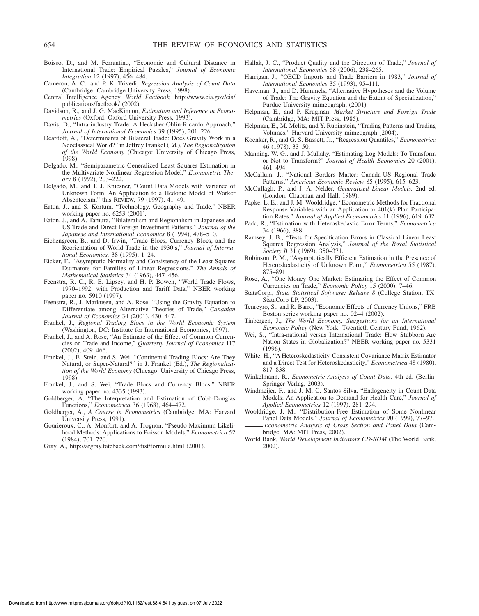- Boisso, D., and M. Ferrantino, "Economic and Cultural Distance in International Trade: Empirical Puzzles," *Journal of Economic Integration* 12 (1997), 456–484.
- Cameron, A. C., and P. K. Trivedi, *Regression Analysis of Count Data* (Cambridge: Cambridge University Press, 1998).
- Central Intelligence Agency, *World Factbook,* http://www.cia.gov/cia/ publications/factbook/ (2002).
- Davidson, R., and J. G. MacKinnon, *Estimation and Inference in Econometrics* (Oxford: Oxford University Press, 1993).
- Davis, D., "Intra-industry Trade: A Hecksher-Ohlin-Ricardo Approach," *Journal of International Economics* 39 (1995), 201–226.
- Deardoff, A., "Determinants of Bilateral Trade: Does Gravity Work in a Neoclassical World?" in Jeffrey Frankel (Ed.), *The Regionalization of the World Economy* (Chicago: University of Chicago Press,  $1998$ ).
- Delgado, M., "Semiparametric Generalized Least Squares Estimation in the Multivariate Nonlinear Regression Model," *Econometric Theory* 8 (1992), 203–222.
- Delgado, M., and T. J. Kniesner, "Count Data Models with Variance of Unknown Form: An Application to a Hedonic Model of Worker Absenteeism," this REVIEW, 79 (1997), 41–49.
- Eaton, J., and S. Kortum, "Technology, Geography and Trade," NBER working paper no. 6253 (2001).
- Eaton, J., and A. Tamura, "Bilateralism and Regionalism in Japanese and US Trade and Direct Foreign Investment Patterns," *Journal of the Japanese and International Economics* 8 (1994), 478–510.
- Eichengreen, B., and D. Irwin, "Trade Blocs, Currency Blocs, and the Reorientation of World Trade in the 1930's," *Journal of International Economics,* 38 (1995), 1–24.
- Eicker, F., "Asymptotic Normality and Consistency of the Least Squares Estimators for Families of Linear Regressions," *The Annals of Mathematical Statistics* 34 (1963), 447–456.
- Feenstra, R. C., R. E. Lipsey, and H. P. Bowen, "World Trade Flows, 1970–1992, with Production and Tariff Data," NBER working paper no. 5910 (1997).
- Feenstra, R., J. Markusen, and A. Rose, "Using the Gravity Equation to Differentiate among Alternative Theories of Trade," *Canadian Journal of Economics* 34 (2001), 430–447.
- Frankel, J., *Regional Trading Blocs in the World Economic System* (Washington, DC: Institute for International Economics, 1997).
- Frankel, J., and A. Rose, "An Estimate of the Effect of Common Currencies on Trade and Income," *Quarterly Journal of Economics* 117 (2002), 409–466.
- Frankel, J., E. Stein, and S. Wei, "Continental Trading Blocs: Are They Natural, or Super-Natural?" in J. Frankel (Ed.), *The Regionalization of the World Economy* (Chicago: University of Chicago Press, 1998).
- Frankel, J., and S. Wei, "Trade Blocs and Currency Blocs," NBER working paper no. 4335 (1993).
- Goldberger, A. "The Interpretation and Estimation of Cobb-Douglas Functions," *Econometrica* 36 (1968), 464–472.
- Goldberger, A., *A Course in Econometrics* (Cambridge, MA: Harvard University Press, 1991).
- Gourieroux, C., A. Monfort, and A. Trognon, "Pseudo Maximum Likelihood Methods: Applications to Poisson Models," *Econometrica* 52 (1984), 701–720.
- Gray, A., http://argray.fateback.com/dist/formula.html (2001).
- Hallak, J. C., "Product Quality and the Direction of Trade," *Journal of International Economics* 68 (2006), 238–265.
- Harrigan, J., "OECD Imports and Trade Barriers in 1983," *Journal of International Economics* 35 (1993), 95–111.
- Haveman, J., and D. Hummels, "Alternative Hypotheses and the Volume of Trade: The Gravity Equation and the Extent of Specialization," Purdue University mimeograph, (2001).
- Helpman, E., and P. Krugman, *Market Structure and Foreign Trade* (Cambridge, MA: MIT Press, 1985).
- Helpman, E., M. Melitz, and Y. Rubinstein, "Trading Patterns and Trading Volumes," Harvard University mimeograph (2004).
- Koenker, R., and G. S. Bassett, Jr., "Regression Quantiles," *Econometrica* 46 (1978), 33–50.
- Manning, W. G., and J. Mullahy, "Estimating Log Models: To Transform or Not to Transform?" *Journal of Health Economics* 20 (2001), 461–494.
- McCallum, J., "National Borders Matter: Canada-US Regional Trade Patterns," *American Economic Review* 85 (1995), 615–623.
- McCullagh, P., and J. A. Nelder, *Generalized Linear Models,* 2nd ed. (London: Chapman and Hall, 1989).
- Papke, L. E., and J. M. Wooldridge, "Econometric Methods for Fractional Response Variables with an Application to 401(k) Plan Participation Rates," *Journal of Applied Econometrics* 11 (1996), 619–632.
- Park, R., "Estimation with Heteroskedastic Error Terms," *Econometrica* 34 (1966), 888.
- Ramsey, J. B., "Tests for Specification Errors in Classical Linear Least Squares Regression Analysis," *Journal of the Royal Statistical Society B* 31 (1969), 350–371.
- Robinson, P. M., "Asymptotically Efficient Estimation in the Presence of Heteroskedasticity of Unknown Form," *Econometrica* 55 (1987), 875–891.
- Rose, A., "One Money One Market: Estimating the Effect of Common Currencies on Trade," *Economic Policy* 15 (2000), 7–46.
- StataCorp., *Stata Statistical Software: Release 8* (College Station, TX: StataCorp LP, 2003).
- Tenreyro, S., and R. Barro, "Economic Effects of Currency Unions," FRB Boston series working paper no. 02–4 (2002).
- Tinbergen, J., *The World Economy. Suggestions for an International Economic Policy* (New York: Twentieth Century Fund, 1962).
- Wei, S., "Intra-national versus International Trade: How Stubborn Are Nation States in Globalization?" NBER working paper no. 5331 (1996).
- White, H., "A Heteroskedasticity-Consistent Covariance Matrix Estimator and a Direct Test for Heteroskedasticity," *Econometrica* 48 (1980), 817–838.
- Winkelmann, R., *Econometric Analysis of Count Data,* 4th ed. (Berlin: Springer-Verlag, 2003).
- Windmeijer, F., and J. M. C. Santos Silva, "Endogeneity in Count Data Models: An Application to Demand for Health Care," *Journal of Applied Econometrics* 12 (1997), 281–294.
- Wooldridge, J. M., "Distribution-Free Estimation of Some Nonlinear Panel Data Models," *Journal of Econometrics* 90 (1999), 77–97.
- *Econometric Analysis of Cross Section and Panel Data* (Cambridge, MA: MIT Press, 2002).
- World Bank, *World Development Indicators CD-ROM* (The World Bank, 2002).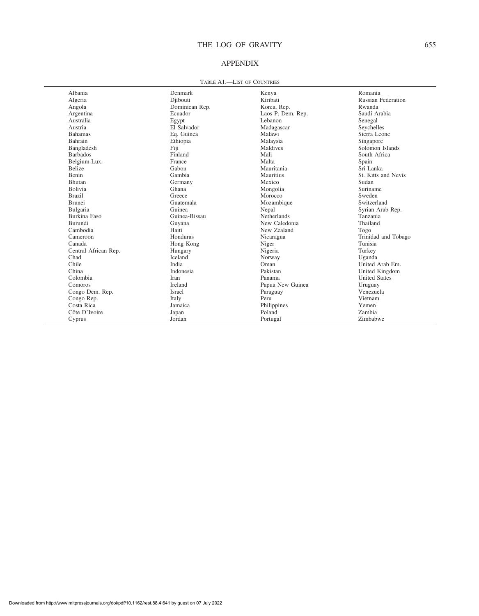# THE LOG OF GRAVITY 655

# APPENDIX

TABLE A1.—LIST OF COUNTRIES

| Albania              | Denmark        | Kenya             | Romania              |
|----------------------|----------------|-------------------|----------------------|
| Algeria              | Djibouti       | Kiribati          | Russian Federation   |
| Angola               | Dominican Rep. | Korea, Rep.       | Rwanda               |
| Argentina            | Ecuador        | Laos P. Dem. Rep. | Saudi Arabia         |
| Australia            | Egypt          | Lebanon           | Senegal              |
| Austria              | El Salvador    | Madagascar        | Seychelles           |
| <b>Bahamas</b>       | Eq. Guinea     | Malawi            | Sierra Leone         |
| Bahrain              | Ethiopia       | Malaysia          | Singapore            |
| Bangladesh           | Fiji           | Maldives          | Solomon Islands      |
| <b>Barbados</b>      | Finland        | Mali              | South Africa         |
| Belgium-Lux.         | France         | Malta             | Spain                |
| <b>Belize</b>        | Gabon          | Mauritania        | Sri Lanka            |
| Benin                | Gambia         | Mauritius         | St. Kitts and Nevis  |
| <b>Bhutan</b>        | Germany        | Mexico            | Sudan                |
| <b>Bolivia</b>       | Ghana          | Mongolia          | Suriname             |
| <b>Brazil</b>        | Greece         | Morocco           | Sweden               |
| <b>Brunei</b>        | Guatemala      | Mozambique        | Switzerland          |
| Bulgaria             | Guinea         | Nepal             | Syrian Arab Rep.     |
| Burkina Faso         | Guinea-Bissau  | Netherlands       | Tanzania             |
| Burundi              | Guyana         | New Caledonia     | Thailand             |
| Cambodia             | Haiti          | New Zealand       | Togo                 |
| Cameroon             | Honduras       | Nicaragua         | Trinidad and Tobago  |
| Canada               | Hong Kong      | Niger             | Tunisia              |
| Central African Rep. | Hungary        | Nigeria           | Turkey               |
| Chad                 | Iceland        | Norway            | Uganda               |
| Chile                | India          | Oman              | United Arab Em.      |
| China                | Indonesia      | Pakistan          | United Kingdom       |
| Colombia             | Iran           | Panama            | <b>United States</b> |
| Comoros              | Ireland        | Papua New Guinea  | Uruguay              |
| Congo Dem. Rep.      | Israel         | Paraguay          | Venezuela            |
| Congo Rep.           | Italy          | Peru              | Vietnam              |
| Costa Rica           | Jamaica        | Philippines       | Yemen                |
| Côte D'Ivoire        | Japan          | Poland            | Zambia               |
| Cyprus               | Jordan         | Portugal          | Zimbabwe             |

 $\equiv$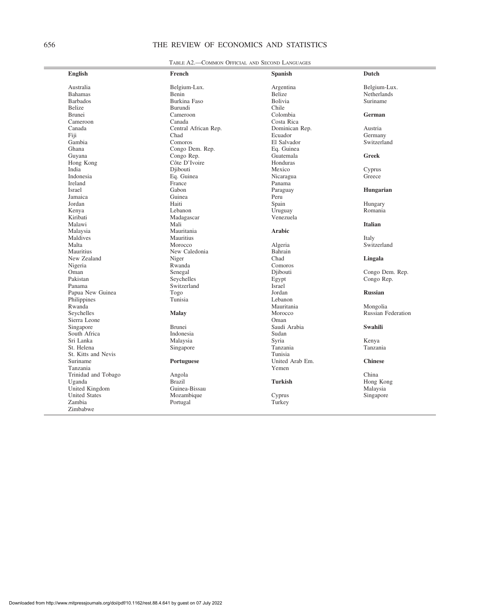# 656 THE REVIEW OF ECONOMICS AND STATISTICS

TABLE A2.—COMMON OFFICIAL AND SECOND LANGUAGES

| <b>English</b> |                      | French               | <b>Spanish</b>  | Dutch                     |
|----------------|----------------------|----------------------|-----------------|---------------------------|
|                | Australia            | Belgium-Lux.         | Argentina       | Belgium-Lux.              |
|                | <b>Bahamas</b>       | Benin                | <b>Belize</b>   | Netherlands               |
|                | <b>Barbados</b>      | Burkina Faso         | Bolivia         | Suriname                  |
| Belize         |                      | Burundi              | Chile           |                           |
| Brunei         |                      | Cameroon             | Colombia        | German                    |
|                | Cameroon             | Canada               | Costa Rica      |                           |
| Canada         |                      | Central African Rep. | Dominican Rep.  | Austria                   |
| Fiji           |                      | Chad                 | Ecuador         | Germany                   |
|                | Gambia               | Comoros              | El Salvador     | Switzerland               |
| Ghana          |                      | Congo Dem. Rep.      | Eq. Guinea      |                           |
| Guyana         |                      | Congo Rep.           | Guatemala       | <b>Greek</b>              |
|                | Hong Kong            | Côte D'Ivoire        | Honduras        |                           |
| India          |                      | Diibouti             | Mexico          | Cyprus                    |
|                | Indonesia            | Eq. Guinea           | Nicaragua       | Greece                    |
| Ireland        |                      | France               | Panama          |                           |
| Israel         |                      | Gabon                | Paraguay        | Hungarian                 |
| Jamaica        |                      | Guinea               | Peru            |                           |
| Jordan         |                      | Haiti                | Spain           | Hungary                   |
| Kenya          |                      | Lebanon              | Uruguay         | Romania                   |
| Kiribati       |                      | Madagascar           | Venezuela       |                           |
| Malawi         |                      | Mali                 |                 | <b>Italian</b>            |
|                | Malaysia             | Mauritania           | <b>Arabic</b>   |                           |
|                | Maldives             | Mauritius            |                 | Italy                     |
| Malta          |                      | Morocco              | Algeria         | Switzerland               |
|                | <b>Mauritius</b>     | New Caledonia        | Bahrain         |                           |
|                | New Zealand          | Niger                | Chad            | Lingala                   |
| Nigeria        |                      | Rwanda               | Comoros         |                           |
| Oman           |                      | Senegal              | Diibouti        | Congo Dem. Rep.           |
|                | Pakistan             | Seychelles           | Egypt           | Congo Rep.                |
| Panama         |                      | Switzerland          | Israel          |                           |
|                | Papua New Guinea     | Togo                 | Jordan          | <b>Russian</b>            |
|                | Philippines          | Tunisia              | Lebanon         |                           |
|                | Rwanda               |                      | Mauritania      | Mongolia                  |
|                | Seychelles           | <b>Malay</b>         | Morocco         | <b>Russian Federation</b> |
|                | Sierra Leone         |                      | Oman            |                           |
|                | Singapore            | <b>Brunei</b>        | Saudi Arabia    | Swahili                   |
|                | South Africa         | Indonesia            | Sudan           |                           |
|                | Sri Lanka            | Malaysia             | Syria           | Kenya                     |
|                | St. Helena           | Singapore            | Tanzania        | Tanzania                  |
|                | St. Kitts and Nevis  |                      | Tunisia         |                           |
|                | Suriname             | Portuguese           | United Arab Em. | <b>Chinese</b>            |
|                | Tanzania             |                      | Yemen           |                           |
|                | Trinidad and Tobago  | Angola               |                 | China                     |
| Uganda         |                      | <b>Brazil</b>        | <b>Turkish</b>  | Hong Kong                 |
|                | United Kingdom       | Guinea-Bissau        |                 | Malaysia                  |
|                | <b>United States</b> | Mozambique           | Cyprus          | Singapore                 |
| Zambia         |                      | Portugal             | Turkey          |                           |
|                | Zimbabwe             |                      |                 |                           |

 $\equiv$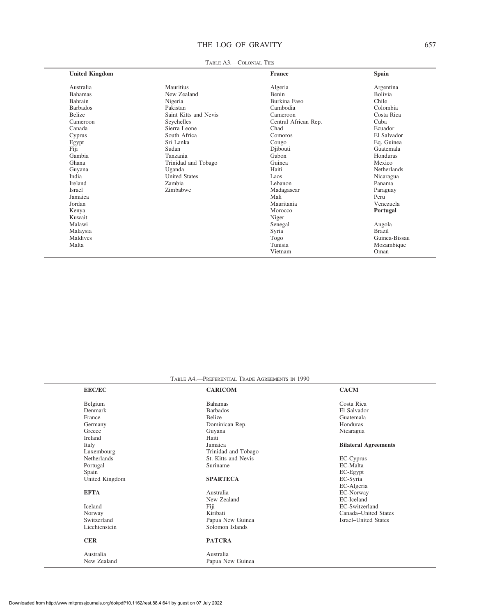# THE LOG OF GRAVITY 657

| <b>United Kingdom</b> |                       | <b>France</b>        | <b>Spain</b>  |
|-----------------------|-----------------------|----------------------|---------------|
| Australia             | Mauritius             | Algeria              | Argentina     |
| <b>Bahamas</b>        | New Zealand           | Benin                | Bolivia       |
| Bahrain               | Nigeria               | Burkina Faso         | Chile         |
| <b>Barbados</b>       | Pakistan              | Cambodia             | Colombia      |
| Belize                | Saint Kitts and Nevis | Cameroon             | Costa Rica    |
| Cameroon              | Seychelles            | Central African Rep. | Cuba          |
| Canada                | Sierra Leone          | Chad                 | Ecuador       |
| Cyprus                | South Africa          | Comoros              | El Salvador   |
| Egypt                 | Sri Lanka             | Congo                | Eq. Guinea    |
| Fiji                  | Sudan                 | Djibouti             | Guatemala     |
| Gambia                | Tanzania              | Gabon                | Honduras      |
| Ghana                 | Trinidad and Tobago   | Guinea               | Mexico        |
| Guyana                | Uganda                | Haiti                | Netherlands   |
| India                 | <b>United States</b>  | Laos                 | Nicaragua     |
| Ireland               | Zambia                | Lebanon              | Panama        |
| Israel                | Zimbabwe              | Madagascar           | Paraguay      |
| Jamaica               |                       | Mali                 | Peru          |
| Jordan                |                       | Mauritania           | Venezuela     |
| Kenya                 |                       | Morocco              | Portugal      |
| Kuwait                |                       | Niger                |               |
| Malawi                |                       | Senegal              | Angola        |
| Malaysia              |                       | Syria                | <b>Brazil</b> |
| Maldives              |                       | Togo                 | Guinea-Bissau |
| Malta                 |                       | Tunisia              | Mozambique    |
|                       |                       | Vietnam              | Oman          |

TABLE A3.—COLONIAL TIES

### TABLE A4.—PREFERENTIAL TRADE AGREEMENTS IN 1990

| <b>EEC/EC</b>  | <b>CARICOM</b>      | <b>CACM</b>                 |
|----------------|---------------------|-----------------------------|
| Belgium        | <b>Bahamas</b>      | Costa Rica                  |
| Denmark        | <b>Barbados</b>     | El Salvador                 |
| France         | Belize              | Guatemala                   |
| Germany        | Dominican Rep.      | Honduras                    |
| Greece         | Guyana              | Nicaragua                   |
| Ireland        | Haiti               |                             |
| Italy          | Jamaica             | <b>Bilateral Agreements</b> |
| Luxembourg     | Trinidad and Tobago |                             |
| Netherlands    | St. Kitts and Nevis | EC-Cyprus                   |
| Portugal       | Suriname            | EC-Malta                    |
| Spain          |                     | EC-Egypt                    |
| United Kingdom | <b>SPARTECA</b>     | EC-Syria                    |
|                |                     | EC-Algeria                  |
| <b>EFTA</b>    | Australia           | EC-Norway                   |
|                | New Zealand         | EC-Iceland                  |
| Iceland        | Fiji                | EC-Switzerland              |
| Norway         | Kiribati            | Canada-United States        |
| Switzerland    | Papua New Guinea    | Israel–United States        |
| Liechtenstein  | Solomon Islands     |                             |
| <b>CER</b>     | <b>PATCRA</b>       |                             |
| Australia      | Australia           |                             |
| New Zealand    | Papua New Guinea    |                             |